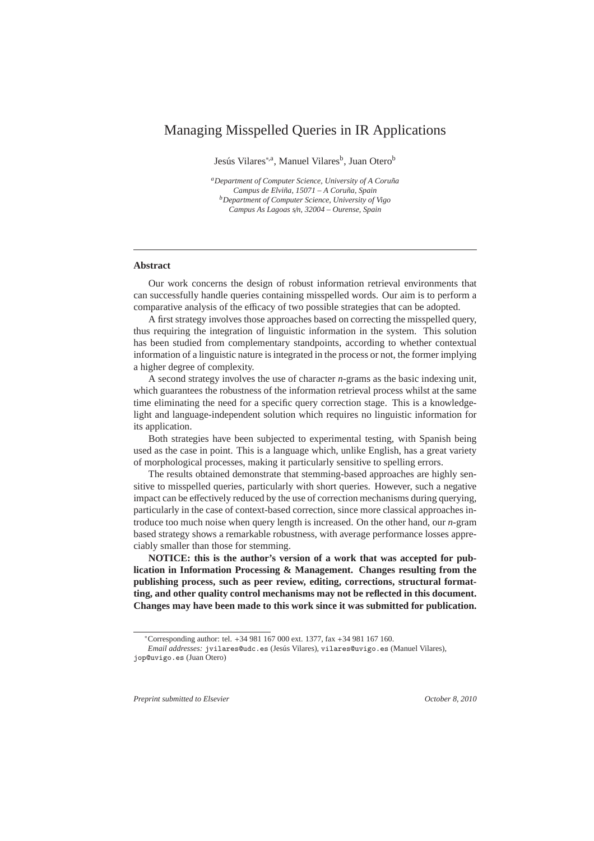# Managing Misspelled Queries in IR Applications

Jesús Vilares<sup>\*,a</sup>, Manuel Vilares<sup>b</sup>, Juan Otero<sup>b</sup>

*<sup>a</sup>Department of Computer Science, University of A Coru˜na Campus de Elvi˜na, 15071 – A Coru˜na, Spain <sup>b</sup>Department of Computer Science, University of Vigo Campus As Lagoas s*/*n, 32004 – Ourense, Spain*

### **Abstract**

Our work concerns the design of robust information retrieval environments that can successfully handle queries containing misspelled words. Our aim is to perform a comparative analysis of the efficacy of two possible strategies that can be adopted.

A first strategy involves those approaches based on correcting the misspelled query, thus requiring the integration of linguistic information in the system. This solution has been studied from complementary standpoints, according to whether contextual information of a linguistic nature is integrated in the process or not, the former implying a higher degree of complexity.

A second strategy involves the use of character *n*-grams as the basic indexing unit, which guarantees the robustness of the information retrieval process whilst at the same time eliminating the need for a specific query correction stage. This is a knowledgelight and language-independent solution which requires no linguistic information for its application.

Both strategies have been subjected to experimental testing, with Spanish being used as the case in point. This is a language which, unlike English, has a great variety of morphological processes, making it particularly sensitive to spelling errors.

The results obtained demonstrate that stemming-based approaches are highly sensitive to misspelled queries, particularly with short queries. However, such a negative impact can be effectively reduced by the use of correction mechanisms during querying, particularly in the case of context-based correction, since more classical approaches introduce too much noise when query length is increased. On the other hand, our *n*-gram based strategy shows a remarkable robustness, with average performance losses appreciably smaller than those for stemming.

**NOTICE: this is the author's version of a work that was accepted for publication in Information Processing & Management. Changes resulting from the publishing process, such as peer review, editing, corrections, structural formatting, and other quality control mechanisms may not be reflected in this document. Changes may have been made to this work since it was submitted for publication.**

*Preprint submitted to Elsevier October 8, 2010*

<sup>∗</sup>Corresponding author: tel. +34 981 167 000 ext. 1377, fax +34 981 167 160.

*Email addresses:* jvilares@udc.es (Jesús Vilares), vilares@uvigo.es (Manuel Vilares), jop@uvigo.es (Juan Otero)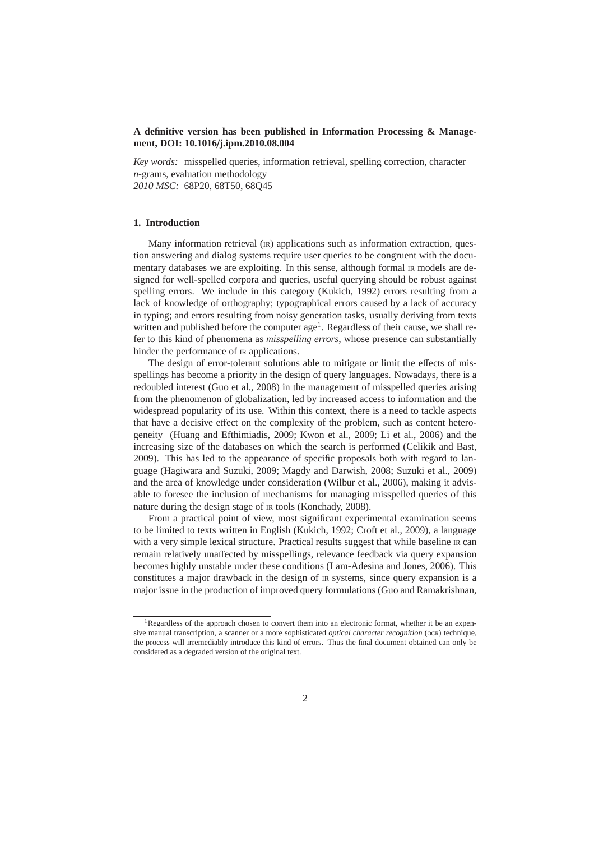# **A definitive version has been published in Information Processing & Management, DOI: 10.1016**/**j.ipm.2010.08.004**

*Key words:* misspelled queries, information retrieval, spelling correction, character *n*-grams, evaluation methodology *2010 MSC:* 68P20, 68T50, 68Q45

### **1. Introduction**

Many information retrieval (IR) applications such as information extraction, question answering and dialog systems require user queries to be congruent with the documentary databases we are exploiting. In this sense, although formal IR models are designed for well-spelled corpora and queries, useful querying should be robust against spelling errors. We include in this category (Kukich, 1992) errors resulting from a lack of knowledge of orthography; typographical errors caused by a lack of accuracy in typing; and errors resulting from noisy generation tasks, usually deriving from texts written and published before the computer  $age<sup>1</sup>$ . Regardless of their cause, we shall refer to this kind of phenomena as *misspelling errors*, whose presence can substantially hinder the performance of  $IR$  applications.

The design of error-tolerant solutions able to mitigate or limit the effects of misspellings has become a priority in the design of query languages. Nowadays, there is a redoubled interest (Guo et al., 2008) in the management of misspelled queries arising from the phenomenon of globalization, led by increased access to information and the widespread popularity of its use. Within this context, there is a need to tackle aspects that have a decisive effect on the complexity of the problem, such as content heterogeneity (Huang and Efthimiadis, 2009; Kwon et al., 2009; Li et al., 2006) and the increasing size of the databases on which the search is performed (Celikik and Bast, 2009). This has led to the appearance of specific proposals both with regard to language (Hagiwara and Suzuki, 2009; Magdy and Darwish, 2008; Suzuki et al., 2009) and the area of knowledge under consideration (Wilbur et al., 2006), making it advisable to foresee the inclusion of mechanisms for managing misspelled queries of this nature during the design stage of IR tools (Konchady, 2008).

From a practical point of view, most significant experimental examination seems to be limited to texts written in English (Kukich, 1992; Croft et al., 2009), a language with a very simple lexical structure. Practical results suggest that while baseline IR can remain relatively unaffected by misspellings, relevance feedback via query expansion becomes highly unstable under these conditions (Lam-Adesina and Jones, 2006). This constitutes a major drawback in the design of IR systems, since query expansion is a major issue in the production of improved query formulations (Guo and Ramakrishnan,

<sup>&</sup>lt;sup>1</sup>Regardless of the approach chosen to convert them into an electronic format, whether it be an expensive manual transcription, a scanner or a more sophisticated *optical character recognition* (OCR) technique, the process will irremediably introduce this kind of errors. Thus the final document obtained can only be considered as a degraded version of the original text.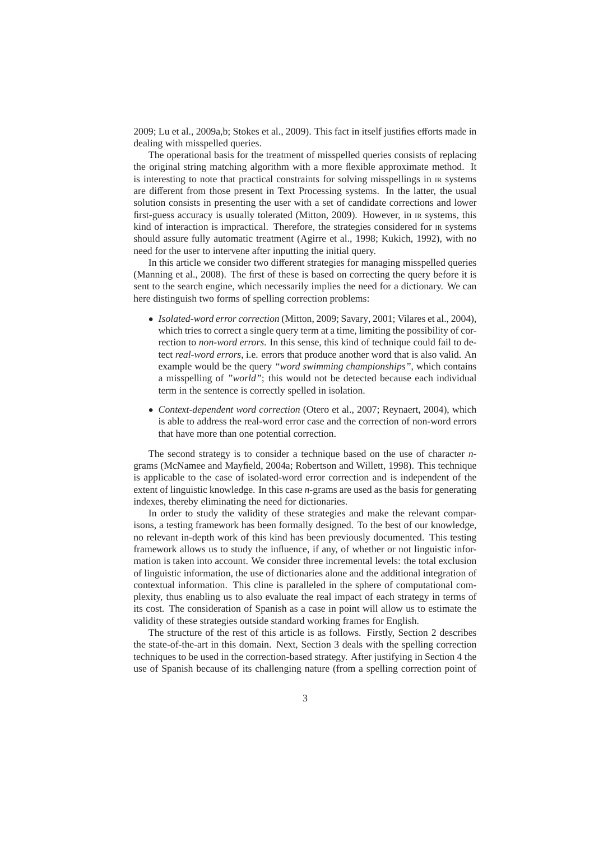2009; Lu et al., 2009a,b; Stokes et al., 2009). This fact in itself justifies efforts made in dealing with misspelled queries.

The operational basis for the treatment of misspelled queries consists of replacing the original string matching algorithm with a more flexible approximate method. It is interesting to note that practical constraints for solving misspellings in IR systems are different from those present in Text Processing systems. In the latter, the usual solution consists in presenting the user with a set of candidate corrections and lower first-guess accuracy is usually tolerated (Mitton, 2009). However, in IR systems, this kind of interaction is impractical. Therefore, the strategies considered for  $\mu$  systems should assure fully automatic treatment (Agirre et al., 1998; Kukich, 1992), with no need for the user to intervene after inputting the initial query.

In this article we consider two different strategies for managing misspelled queries (Manning et al., 2008). The first of these is based on correcting the query before it is sent to the search engine, which necessarily implies the need for a dictionary. We can here distinguish two forms of spelling correction problems:

- *Isolated-word error correction* (Mitton, 2009; Savary, 2001; Vilares et al., 2004), which tries to correct a single query term at a time, limiting the possibility of correction to *non-word errors*. In this sense, this kind of technique could fail to detect *real-word errors*, i.e. errors that produce another word that is also valid. An example would be the query *"word swimming championships"*, which contains a misspelling of *"world"*; this would not be detected because each individual term in the sentence is correctly spelled in isolation.
- *Context-dependent word correction* (Otero et al., 2007; Reynaert, 2004), which is able to address the real-word error case and the correction of non-word errors that have more than one potential correction.

The second strategy is to consider a technique based on the use of character *n*grams (McNamee and Mayfield, 2004a; Robertson and Willett, 1998). This technique is applicable to the case of isolated-word error correction and is independent of the extent of linguistic knowledge. In this case *n*-grams are used as the basis for generating indexes, thereby eliminating the need for dictionaries.

In order to study the validity of these strategies and make the relevant comparisons, a testing framework has been formally designed. To the best of our knowledge, no relevant in-depth work of this kind has been previously documented. This testing framework allows us to study the influence, if any, of whether or not linguistic information is taken into account. We consider three incremental levels: the total exclusion of linguistic information, the use of dictionaries alone and the additional integration of contextual information. This cline is paralleled in the sphere of computational complexity, thus enabling us to also evaluate the real impact of each strategy in terms of its cost. The consideration of Spanish as a case in point will allow us to estimate the validity of these strategies outside standard working frames for English.

The structure of the rest of this article is as follows. Firstly, Section 2 describes the state-of-the-art in this domain. Next, Section 3 deals with the spelling correction techniques to be used in the correction-based strategy. After justifying in Section 4 the use of Spanish because of its challenging nature (from a spelling correction point of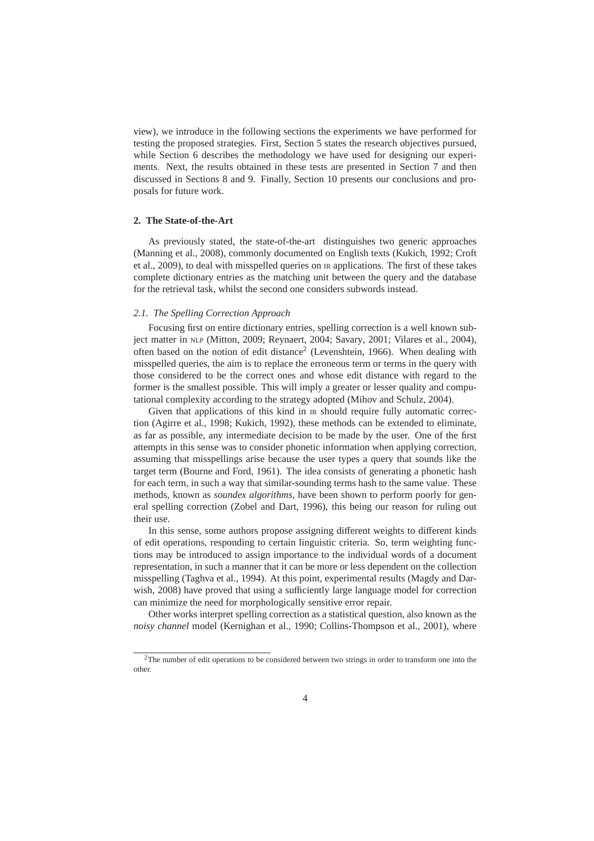view), we introduce in the following sections the experiments we have performed for testing the proposed strategies. First, Section 5 states the research objectives pursued, while Section 6 describes the methodology we have used for designing our experiments. Next, the results obtained in these tests are presented in Section 7 and then discussed in Sections 8 and 9. Finally, Section 10 presents our conclusions and proposals for future work.

#### **2. The State-of-the-Art**

As previously stated, the state-of-the-art distinguishes two generic approaches (Manning et al., 2008), commonly documented on English texts (Kukich, 1992; Croft et al., 2009), to deal with misspelled queries on IR applications. The first of these takes complete dictionary entries as the matching unit between the query and the database for the retrieval task, whilst the second one considers subwords instead.

### *2.1. The Spelling Correction Approach*

Focusing first on entire dictionary entries, spelling correction is a well known subject matter in NLP (Mitton, 2009; Reynaert, 2004; Savary, 2001; Vilares et al., 2004), often based on the notion of edit distance<sup>2</sup> (Levenshtein, 1966). When dealing with misspelled queries, the aim is to replace the erroneous term or terms in the query with those considered to be the correct ones and whose edit distance with regard to the former is the smallest possible. This will imply a greater or lesser quality and computational complexity according to the strategy adopted (Mihov and Schulz, 2004).

Given that applications of this kind in  $IR$  should require fully automatic correction (Agirre et al., 1998; Kukich, 1992), these methods can be extended to eliminate, as far as possible, any intermediate decision to be made by the user. One of the first attempts in this sense was to consider phonetic information when applying correction, assuming that misspellings arise because the user types a query that sounds like the target term (Bourne and Ford, 1961). The idea consists of generating a phonetic hash for each term, in such a way that similar-sounding terms hash to the same value. These methods, known as *soundex algorithms*, have been shown to perform poorly for general spelling correction (Zobel and Dart, 1996), this being our reason for ruling out their use.

In this sense, some authors propose assigning different weights to different kinds of edit operations, responding to certain linguistic criteria. So, term weighting functions may be introduced to assign importance to the individual words of a document representation, in such a manner that it can be more or less dependent on the collection misspelling (Taghva et al., 1994). At this point, experimental results (Magdy and Darwish, 2008) have proved that using a sufficiently large language model for correction can minimize the need for morphologically sensitive error repair.

Other works interpret spelling correction as a statistical question, also known as the *noisy channel* model (Kernighan et al., 1990; Collins-Thompson et al., 2001), where

<sup>2</sup>The number of edit operations to be considered between two strings in order to transform one into the other.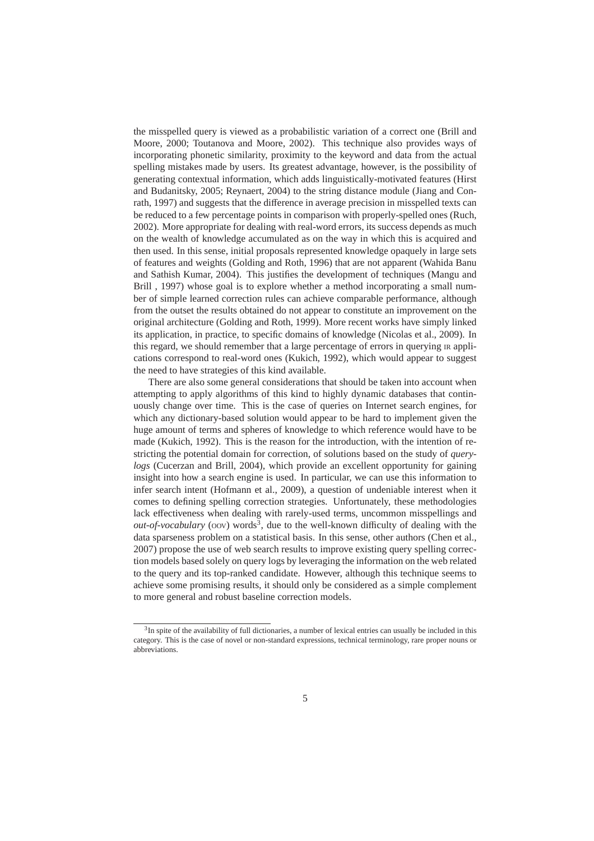the misspelled query is viewed as a probabilistic variation of a correct one (Brill and Moore, 2000; Toutanova and Moore, 2002). This technique also provides ways of incorporating phonetic similarity, proximity to the keyword and data from the actual spelling mistakes made by users. Its greatest advantage, however, is the possibility of generating contextual information, which adds linguistically-motivated features (Hirst and Budanitsky, 2005; Reynaert, 2004) to the string distance module (Jiang and Conrath, 1997) and suggests that the difference in average precision in misspelled texts can be reduced to a few percentage points in comparison with properly-spelled ones (Ruch, 2002). More appropriate for dealing with real-word errors, its success depends as much on the wealth of knowledge accumulated as on the way in which this is acquired and then used. In this sense, initial proposals represented knowledge opaquely in large sets of features and weights (Golding and Roth, 1996) that are not apparent (Wahida Banu and Sathish Kumar, 2004). This justifies the development of techniques (Mangu and Brill , 1997) whose goal is to explore whether a method incorporating a small number of simple learned correction rules can achieve comparable performance, although from the outset the results obtained do not appear to constitute an improvement on the original architecture (Golding and Roth, 1999). More recent works have simply linked its application, in practice, to specific domains of knowledge (Nicolas et al., 2009). In this regard, we should remember that a large percentage of errors in querying IR applications correspond to real-word ones (Kukich, 1992), which would appear to suggest the need to have strategies of this kind available.

There are also some general considerations that should be taken into account when attempting to apply algorithms of this kind to highly dynamic databases that continuously change over time. This is the case of queries on Internet search engines, for which any dictionary-based solution would appear to be hard to implement given the huge amount of terms and spheres of knowledge to which reference would have to be made (Kukich, 1992). This is the reason for the introduction, with the intention of restricting the potential domain for correction, of solutions based on the study of *querylogs* (Cucerzan and Brill, 2004), which provide an excellent opportunity for gaining insight into how a search engine is used. In particular, we can use this information to infer search intent (Hofmann et al., 2009), a question of undeniable interest when it comes to defining spelling correction strategies. Unfortunately, these methodologies lack effectiveness when dealing with rarely-used terms, uncommon misspellings and *out-of-vocabulary* (oov) words<sup>3</sup>, due to the well-known difficulty of dealing with the data sparseness problem on a statistical basis. In this sense, other authors (Chen et al., 2007) propose the use of web search results to improve existing query spelling correction models based solely on query logs by leveraging the information on the web related to the query and its top-ranked candidate. However, although this technique seems to achieve some promising results, it should only be considered as a simple complement to more general and robust baseline correction models.

 $3$ In spite of the availability of full dictionaries, a number of lexical entries can usually be included in this category. This is the case of novel or non-standard expressions, technical terminology, rare proper nouns or abbreviations.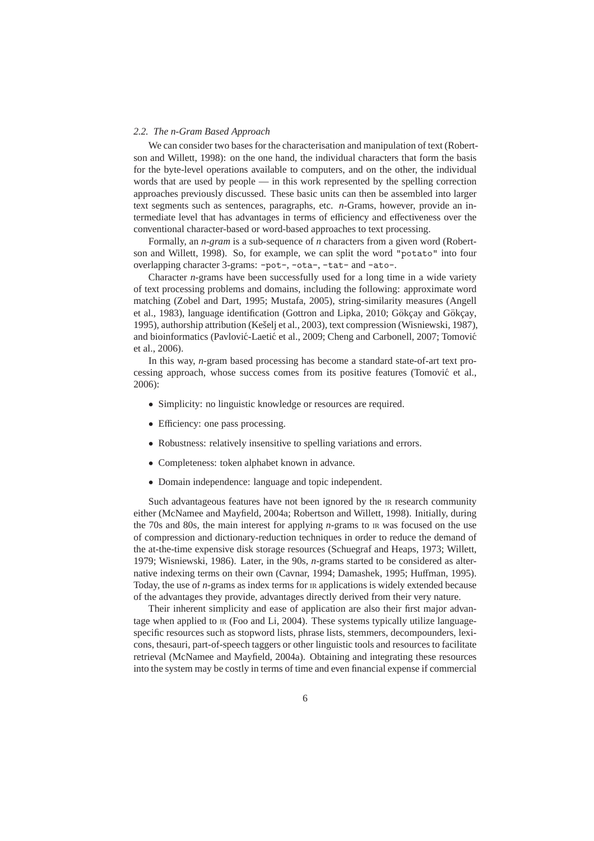### *2.2. The n-Gram Based Approach*

We can consider two bases for the characterisation and manipulation of text (Robertson and Willett, 1998): on the one hand, the individual characters that form the basis for the byte-level operations available to computers, and on the other, the individual words that are used by people — in this work represented by the spelling correction approaches previously discussed. These basic units can then be assembled into larger text segments such as sentences, paragraphs, etc. *n*-Grams, however, provide an intermediate level that has advantages in terms of efficiency and effectiveness over the conventional character-based or word-based approaches to text processing.

Formally, an *n-gram* is a sub-sequence of *n* characters from a given word (Robertson and Willett, 1998). So, for example, we can split the word "potato" into four overlapping character 3-grams: -pot-, -ota-, -tat- and -ato-.

Character *n*-grams have been successfully used for a long time in a wide variety of text processing problems and domains, including the following: approximate word matching (Zobel and Dart, 1995; Mustafa, 2005), string-similarity measures (Angell et al., 1983), language identification (Gottron and Lipka, 2010; Gökcay and Gökcay, 1995), authorship attribution (Kešelj et al., 2003), text compression (Wisniewski, 1987), and bioinformatics (Pavlović-Laetić et al., 2009; Cheng and Carbonell, 2007; Tomović et al., 2006).

In this way, *n*-gram based processing has become a standard state-of-art text processing approach, whose success comes from its positive features (Tomovic et al., ´ 2006):

- Simplicity: no linguistic knowledge or resources are required.
- Efficiency: one pass processing.
- Robustness: relatively insensitive to spelling variations and errors.
- Completeness: token alphabet known in advance.
- Domain independence: language and topic independent.

Such advantageous features have not been ignored by the IR research community either (McNamee and Mayfield, 2004a; Robertson and Willett, 1998). Initially, during the 70s and 80s, the main interest for applying *n*-grams to IR was focused on the use of compression and dictionary-reduction techniques in order to reduce the demand of the at-the-time expensive disk storage resources (Schuegraf and Heaps, 1973; Willett, 1979; Wisniewski, 1986). Later, in the 90s, *n*-grams started to be considered as alternative indexing terms on their own (Cavnar, 1994; Damashek, 1995; Huffman, 1995). Today, the use of *n*-grams as index terms for IR applications is widely extended because of the advantages they provide, advantages directly derived from their very nature.

Their inherent simplicity and ease of application are also their first major advantage when applied to IR (Foo and Li, 2004). These systems typically utilize languagespecific resources such as stopword lists, phrase lists, stemmers, decompounders, lexicons, thesauri, part-of-speech taggers or other linguistic tools and resources to facilitate retrieval (McNamee and Mayfield, 2004a). Obtaining and integrating these resources into the system may be costly in terms of time and even financial expense if commercial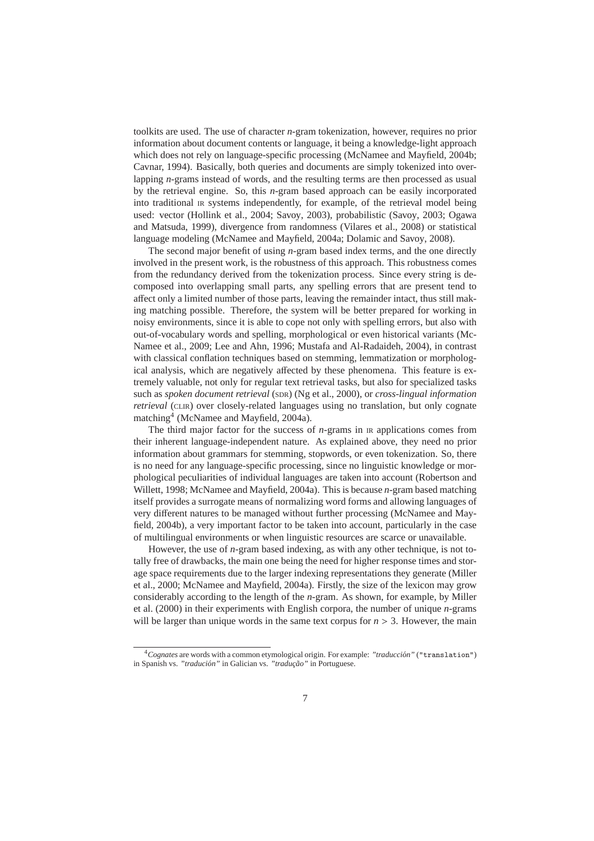toolkits are used. The use of character *n*-gram tokenization, however, requires no prior information about document contents or language, it being a knowledge-light approach which does not rely on language-specific processing (McNamee and Mayfield, 2004b; Cavnar, 1994). Basically, both queries and documents are simply tokenized into overlapping *n*-grams instead of words, and the resulting terms are then processed as usual by the retrieval engine. So, this *n*-gram based approach can be easily incorporated into traditional IR systems independently, for example, of the retrieval model being used: vector (Hollink et al., 2004; Savoy, 2003), probabilistic (Savoy, 2003; Ogawa and Matsuda, 1999), divergence from randomness (Vilares et al., 2008) or statistical language modeling (McNamee and Mayfield, 2004a; Dolamic and Savoy, 2008).

The second major benefit of using *n*-gram based index terms, and the one directly involved in the present work, is the robustness of this approach. This robustness comes from the redundancy derived from the tokenization process. Since every string is decomposed into overlapping small parts, any spelling errors that are present tend to affect only a limited number of those parts, leaving the remainder intact, thus still making matching possible. Therefore, the system will be better prepared for working in noisy environments, since it is able to cope not only with spelling errors, but also with out-of-vocabulary words and spelling, morphological or even historical variants (Mc-Namee et al., 2009; Lee and Ahn, 1996; Mustafa and Al-Radaideh, 2004), in contrast with classical conflation techniques based on stemming, lemmatization or morphological analysis, which are negatively affected by these phenomena. This feature is extremely valuable, not only for regular text retrieval tasks, but also for specialized tasks such as *spoken document retrieval* (SDR) (Ng et al., 2000), or *cross-lingual information retrieval* (CLIR) over closely-related languages using no translation, but only cognate matching<sup>4</sup> (McNamee and Mayfield, 2004a).

The third major factor for the success of *n*-grams in IR applications comes from their inherent language-independent nature. As explained above, they need no prior information about grammars for stemming, stopwords, or even tokenization. So, there is no need for any language-specific processing, since no linguistic knowledge or morphological peculiarities of individual languages are taken into account (Robertson and Willett, 1998; McNamee and Mayfield, 2004a). This is because *n*-gram based matching itself provides a surrogate means of normalizing word forms and allowing languages of very different natures to be managed without further processing (McNamee and Mayfield, 2004b), a very important factor to be taken into account, particularly in the case of multilingual environments or when linguistic resources are scarce or unavailable.

However, the use of *n*-gram based indexing, as with any other technique, is not totally free of drawbacks, the main one being the need for higher response times and storage space requirements due to the larger indexing representations they generate (Miller et al., 2000; McNamee and Mayfield, 2004a). Firstly, the size of the lexicon may grow considerably according to the length of the *n*-gram. As shown, for example, by Miller et al. (2000) in their experiments with English corpora, the number of unique *n*-grams will be larger than unique words in the same text corpus for  $n > 3$ . However, the main

<sup>&</sup>lt;sup>4</sup>Cognates are words with a common etymological origin. For example: "*traducción*" ("translation") in Spanish vs. "tradución" in Galician vs. "tradução" in Portuguese.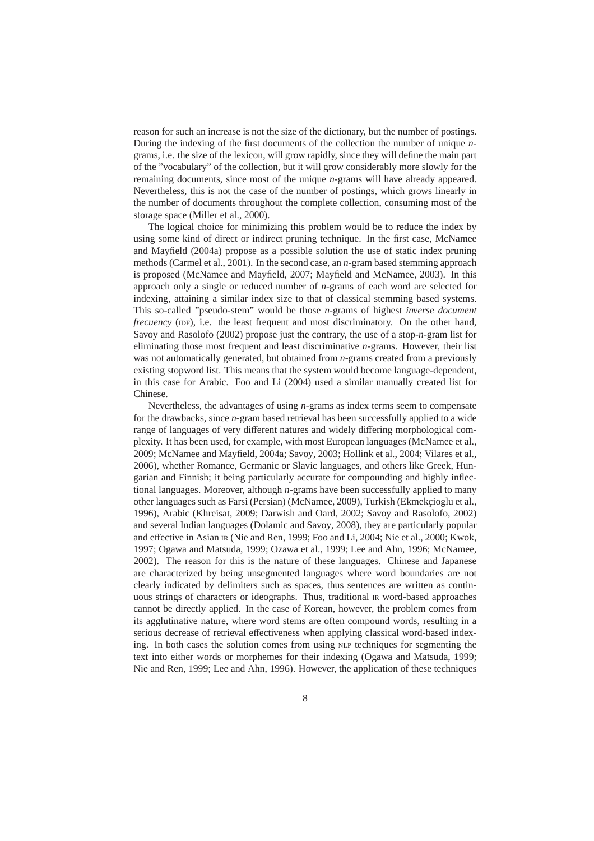reason for such an increase is not the size of the dictionary, but the number of postings. During the indexing of the first documents of the collection the number of unique *n*grams, i.e. the size of the lexicon, will grow rapidly, since they will define the main part of the "vocabulary" of the collection, but it will grow considerably more slowly for the remaining documents, since most of the unique *n*-grams will have already appeared. Nevertheless, this is not the case of the number of postings, which grows linearly in the number of documents throughout the complete collection, consuming most of the storage space (Miller et al., 2000).

The logical choice for minimizing this problem would be to reduce the index by using some kind of direct or indirect pruning technique. In the first case, McNamee and Mayfield (2004a) propose as a possible solution the use of static index pruning methods (Carmel et al., 2001). In the second case, an *n*-gram based stemming approach is proposed (McNamee and Mayfield, 2007; Mayfield and McNamee, 2003). In this approach only a single or reduced number of *n*-grams of each word are selected for indexing, attaining a similar index size to that of classical stemming based systems. This so-called "pseudo-stem" would be those *n*-grams of highest *inverse document frecuency* (IDF), i.e. the least frequent and most discriminatory. On the other hand, Savoy and Rasolofo (2002) propose just the contrary, the use of a stop-*n*-gram list for eliminating those most frequent and least discriminative *n*-grams. However, their list was not automatically generated, but obtained from *n*-grams created from a previously existing stopword list. This means that the system would become language-dependent, in this case for Arabic. Foo and Li (2004) used a similar manually created list for Chinese.

Nevertheless, the advantages of using *n*-grams as index terms seem to compensate for the drawbacks, since *n*-gram based retrieval has been successfully applied to a wide range of languages of very different natures and widely differing morphological complexity. It has been used, for example, with most European languages (McNamee et al., 2009; McNamee and Mayfield, 2004a; Savoy, 2003; Hollink et al., 2004; Vilares et al., 2006), whether Romance, Germanic or Slavic languages, and others like Greek, Hungarian and Finnish; it being particularly accurate for compounding and highly inflectional languages. Moreover, although *n*-grams have been successfully applied to many other languages such as Farsi (Persian) (McNamee, 2009), Turkish (Ekmekcioglu et al., 1996), Arabic (Khreisat, 2009; Darwish and Oard, 2002; Savoy and Rasolofo, 2002) and several Indian languages (Dolamic and Savoy, 2008), they are particularly popular and effective in Asian IR (Nie and Ren, 1999; Foo and Li, 2004; Nie et al., 2000; Kwok, 1997; Ogawa and Matsuda, 1999; Ozawa et al., 1999; Lee and Ahn, 1996; McNamee, 2002). The reason for this is the nature of these languages. Chinese and Japanese are characterized by being unsegmented languages where word boundaries are not clearly indicated by delimiters such as spaces, thus sentences are written as continuous strings of characters or ideographs. Thus, traditional IR word-based approaches cannot be directly applied. In the case of Korean, however, the problem comes from its agglutinative nature, where word stems are often compound words, resulting in a serious decrease of retrieval effectiveness when applying classical word-based indexing. In both cases the solution comes from using NLP techniques for segmenting the text into either words or morphemes for their indexing (Ogawa and Matsuda, 1999; Nie and Ren, 1999; Lee and Ahn, 1996). However, the application of these techniques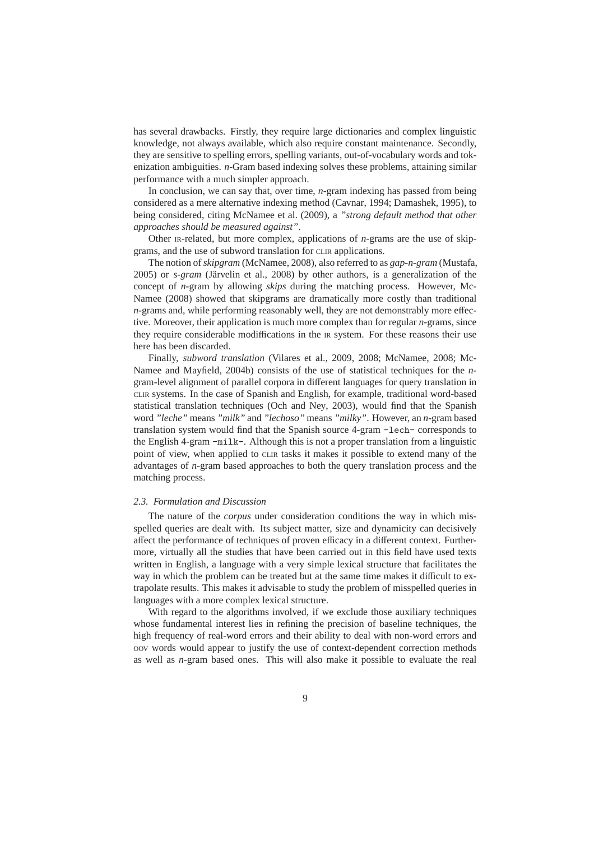has several drawbacks. Firstly, they require large dictionaries and complex linguistic knowledge, not always available, which also require constant maintenance. Secondly, they are sensitive to spelling errors, spelling variants, out-of-vocabulary words and tokenization ambiguities. *n*-Gram based indexing solves these problems, attaining similar performance with a much simpler approach.

In conclusion, we can say that, over time, *n*-gram indexing has passed from being considered as a mere alternative indexing method (Cavnar, 1994; Damashek, 1995), to being considered, citing McNamee et al. (2009), a *"strong default method that other approaches should be measured against"*.

Other IR-related, but more complex, applications of *n*-grams are the use of skipgrams, and the use of subword translation for CLIR applications.

The notion of*skipgram* (McNamee, 2008), also referred to as *gap-n-gram* (Mustafa, 2005) or *s-gram* (Järvelin et al., 2008) by other authors, is a generalization of the concept of *n*-gram by allowing *skips* during the matching process. However, Mc-Namee (2008) showed that skipgrams are dramatically more costly than traditional *n*-grams and, while performing reasonably well, they are not demonstrably more effective. Moreover, their application is much more complex than for regular *n*-grams, since they require considerable modiffications in the IR system. For these reasons their use here has been discarded.

Finally, *subword translation* (Vilares et al., 2009, 2008; McNamee, 2008; Mc-Namee and Mayfield, 2004b) consists of the use of statistical techniques for the *n*gram-level alignment of parallel corpora in different languages for query translation in CLIR systems. In the case of Spanish and English, for example, traditional word-based statistical translation techniques (Och and Ney, 2003), would find that the Spanish word *"leche"* means *"milk"* and *"lechoso"* means *"milky"*. However, an *n*-gram based translation system would find that the Spanish source 4-gram -lech- corresponds to the English 4-gram -milk-. Although this is not a proper translation from a linguistic point of view, when applied to CLIR tasks it makes it possible to extend many of the advantages of *n*-gram based approaches to both the query translation process and the matching process.

### *2.3. Formulation and Discussion*

The nature of the *corpus* under consideration conditions the way in which misspelled queries are dealt with. Its subject matter, size and dynamicity can decisively affect the performance of techniques of proven efficacy in a different context. Furthermore, virtually all the studies that have been carried out in this field have used texts written in English, a language with a very simple lexical structure that facilitates the way in which the problem can be treated but at the same time makes it difficult to extrapolate results. This makes it advisable to study the problem of misspelled queries in languages with a more complex lexical structure.

With regard to the algorithms involved, if we exclude those auxiliary techniques whose fundamental interest lies in refining the precision of baseline techniques, the high frequency of real-word errors and their ability to deal with non-word errors and OOV words would appear to justify the use of context-dependent correction methods as well as *n*-gram based ones. This will also make it possible to evaluate the real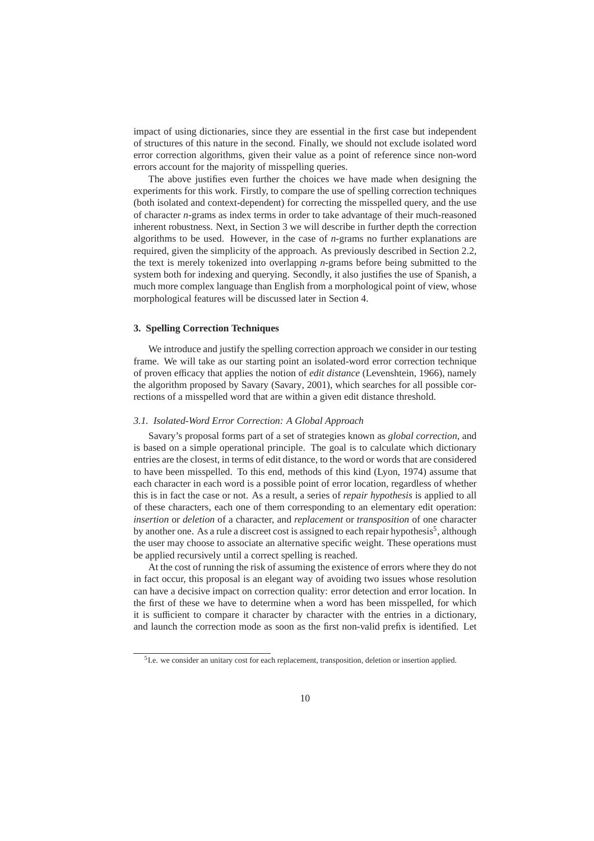impact of using dictionaries, since they are essential in the first case but independent of structures of this nature in the second. Finally, we should not exclude isolated word error correction algorithms, given their value as a point of reference since non-word errors account for the majority of misspelling queries.

The above justifies even further the choices we have made when designing the experiments for this work. Firstly, to compare the use of spelling correction techniques (both isolated and context-dependent) for correcting the misspelled query, and the use of character *n*-grams as index terms in order to take advantage of their much-reasoned inherent robustness. Next, in Section 3 we will describe in further depth the correction algorithms to be used. However, in the case of *n*-grams no further explanations are required, given the simplicity of the approach. As previously described in Section 2.2, the text is merely tokenized into overlapping *n*-grams before being submitted to the system both for indexing and querying. Secondly, it also justifies the use of Spanish, a much more complex language than English from a morphological point of view, whose morphological features will be discussed later in Section 4.

### **3. Spelling Correction Techniques**

We introduce and justify the spelling correction approach we consider in our testing frame. We will take as our starting point an isolated-word error correction technique of proven efficacy that applies the notion of *edit distance* (Levenshtein, 1966), namely the algorithm proposed by Savary (Savary, 2001), which searches for all possible corrections of a misspelled word that are within a given edit distance threshold.

### *3.1. Isolated-Word Error Correction: A Global Approach*

Savary's proposal forms part of a set of strategies known as *global correction*, and is based on a simple operational principle. The goal is to calculate which dictionary entries are the closest, in terms of edit distance, to the word or words that are considered to have been misspelled. To this end, methods of this kind (Lyon, 1974) assume that each character in each word is a possible point of error location, regardless of whether this is in fact the case or not. As a result, a series of *repair hypothesis* is applied to all of these characters, each one of them corresponding to an elementary edit operation: *insertion* or *deletion* of a character, and *replacement* or *transposition* of one character by another one. As a rule a discreet cost is assigned to each repair hypothesis<sup>5</sup>, although the user may choose to associate an alternative specific weight. These operations must be applied recursively until a correct spelling is reached.

At the cost of running the risk of assuming the existence of errors where they do not in fact occur, this proposal is an elegant way of avoiding two issues whose resolution can have a decisive impact on correction quality: error detection and error location. In the first of these we have to determine when a word has been misspelled, for which it is sufficient to compare it character by character with the entries in a dictionary, and launch the correction mode as soon as the first non-valid prefix is identified. Let

<sup>&</sup>lt;sup>5</sup>I.e. we consider an unitary cost for each replacement, transposition, deletion or insertion applied.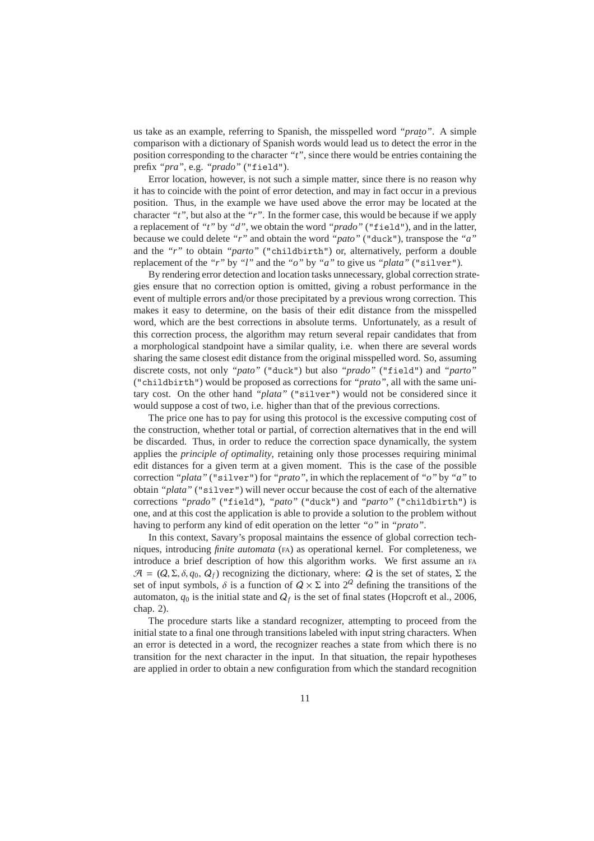us take as an example, referring to Spanish, the misspelled word *"prato"*. A simple comparison with a dictionary of Spanish words would lead us to detect the error in the position corresponding to the character *"t"*, since there would be entries containing the prefix *"pra"*, e.g. *"prado"* ("field").

Error location, however, is not such a simple matter, since there is no reason why it has to coincide with the point of error detection, and may in fact occur in a previous position. Thus, in the example we have used above the error may be located at the character *"t"*, but also at the *"r"*. In the former case, this would be because if we apply a replacement of *"t"* by *"d"*, we obtain the word *"prado"* ("field"), and in the latter, because we could delete *"r"* and obtain the word *"pato"* ("duck"), transpose the *"a"* and the *"r"* to obtain *"parto"* ("childbirth") or, alternatively, perform a double replacement of the *"r"* by *"l"* and the *"o"* by *"a"* to give us *"plata"* ("silver").

By rendering error detection and location tasks unnecessary, global correction strategies ensure that no correction option is omitted, giving a robust performance in the event of multiple errors and/or those precipitated by a previous wrong correction. This makes it easy to determine, on the basis of their edit distance from the misspelled word, which are the best corrections in absolute terms. Unfortunately, as a result of this correction process, the algorithm may return several repair candidates that from a morphological standpoint have a similar quality, i.e. when there are several words sharing the same closest edit distance from the original misspelled word. So, assuming discrete costs, not only *"pato"* ("duck") but also *"prado"* ("field") and *"parto"* ("childbirth") would be proposed as corrections for *"prato"*, all with the same unitary cost. On the other hand *"plata"* ("silver") would not be considered since it would suppose a cost of two, i.e. higher than that of the previous corrections.

The price one has to pay for using this protocol is the excessive computing cost of the construction, whether total or partial, of correction alternatives that in the end will be discarded. Thus, in order to reduce the correction space dynamically, the system applies the *principle of optimality*, retaining only those processes requiring minimal edit distances for a given term at a given moment. This is the case of the possible correction *"plata"* ("silver") for *"prato"*, in which the replacement of *"o"* by *"a"* to obtain *"plata"* ("silver") will never occur because the cost of each of the alternative corrections *"prado"* ("field"), *"pato"* ("duck") and *"parto"* ("childbirth") is one, and at this cost the application is able to provide a solution to the problem without having to perform any kind of edit operation on the letter *"o"* in *"prato"*.

In this context, Savary's proposal maintains the essence of global correction techniques, introducing *finite automata* (FA) as operational kernel. For completeness, we introduce a brief description of how this algorithm works. We first assume an FA  $A = (Q, \Sigma, \delta, q_0, Q_f)$  recognizing the dictionary, where: Q is the set of states,  $\Sigma$  the set of input symbols,  $\delta$  is a function of  $Q \times \Sigma$  into  $2^Q$  defining the transitions of the automaton,  $q_0$  is the initial state and  $Q_f$  is the set of final states (Hopcroft et al., 2006, chap. 2).

The procedure starts like a standard recognizer, attempting to proceed from the initial state to a final one through transitions labeled with input string characters. When an error is detected in a word, the recognizer reaches a state from which there is no transition for the next character in the input. In that situation, the repair hypotheses are applied in order to obtain a new configuration from which the standard recognition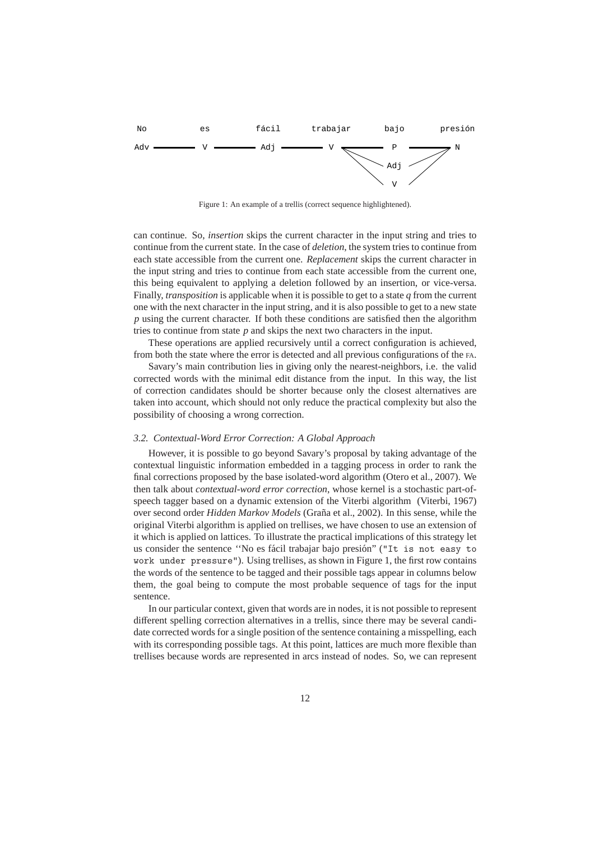

Figure 1: An example of a trellis (correct sequence highlightened).

can continue. So, *insertion* skips the current character in the input string and tries to continue from the current state. In the case of *deletion*, the system tries to continue from each state accessible from the current one. *Replacement* skips the current character in the input string and tries to continue from each state accessible from the current one, this being equivalent to applying a deletion followed by an insertion, or vice-versa. Finally, *transposition* is applicable when it is possible to get to a state *q* from the current one with the next character in the input string, and it is also possible to get to a new state *p* using the current character. If both these conditions are satisfied then the algorithm tries to continue from state *p* and skips the next two characters in the input.

These operations are applied recursively until a correct configuration is achieved, from both the state where the error is detected and all previous configurations of the FA.

Savary's main contribution lies in giving only the nearest-neighbors, i.e. the valid corrected words with the minimal edit distance from the input. In this way, the list of correction candidates should be shorter because only the closest alternatives are taken into account, which should not only reduce the practical complexity but also the possibility of choosing a wrong correction.

#### *3.2. Contextual-Word Error Correction: A Global Approach*

However, it is possible to go beyond Savary's proposal by taking advantage of the contextual linguistic information embedded in a tagging process in order to rank the final corrections proposed by the base isolated-word algorithm (Otero et al., 2007). We then talk about *contextual-word error correction*, whose kernel is a stochastic part-ofspeech tagger based on a dynamic extension of the Viterbi algorithm (Viterbi, 1967) over second order *Hidden Markov Models* (Graña et al., 2002). In this sense, while the original Viterbi algorithm is applied on trellises, we have chosen to use an extension of it which is applied on lattices. To illustrate the practical implications of this strategy let us consider the sentence "No es fácil trabajar bajo presión" ("It is not easy to work under pressure"). Using trellises, as shown in Figure 1, the first row contains the words of the sentence to be tagged and their possible tags appear in columns below them, the goal being to compute the most probable sequence of tags for the input sentence.

In our particular context, given that words are in nodes, it is not possible to represent different spelling correction alternatives in a trellis, since there may be several candidate corrected words for a single position of the sentence containing a misspelling, each with its corresponding possible tags. At this point, lattices are much more flexible than trellises because words are represented in arcs instead of nodes. So, we can represent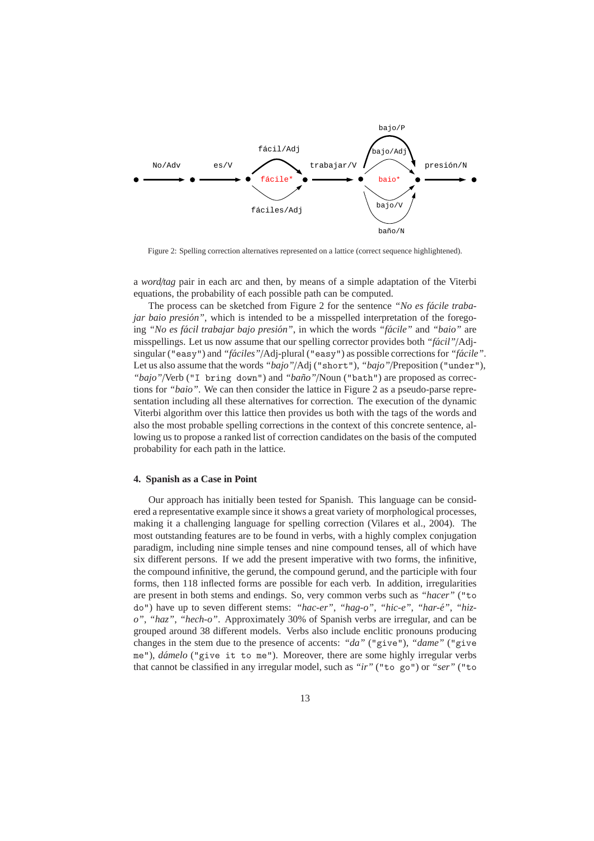

Figure 2: Spelling correction alternatives represented on a lattice (correct sequence highlightened).

a *word*/*tag* pair in each arc and then, by means of a simple adaptation of the Viterbi equations, the probability of each possible path can be computed.

The process can be sketched from Figure 2 for the sentence "No es fácile traba*jar baio presión"*, which is intended to be a misspelled interpretation of the foregoing *"No es fácil trabajar bajo presión"*, in which the words *"fácile"* and "*baio"* are misspellings. Let us now assume that our spelling corrector provides both "*fácil*"/Adjsingular ("easy") and "*fáciles"*/Adj-plural ("easy") as possible corrections for "*fácile*". Let us also assume that the words *"bajo"*/Adj ("short"), *"bajo"*/Preposition ("under"), "*bajo"*/Verb ("I bring down") and "*baño"*/Noun ("bath") are proposed as corrections for *"baio"*. We can then consider the lattice in Figure 2 as a pseudo-parse representation including all these alternatives for correction. The execution of the dynamic Viterbi algorithm over this lattice then provides us both with the tags of the words and also the most probable spelling corrections in the context of this concrete sentence, allowing us to propose a ranked list of correction candidates on the basis of the computed probability for each path in the lattice.

### **4. Spanish as a Case in Point**

Our approach has initially been tested for Spanish. This language can be considered a representative example since it shows a great variety of morphological processes, making it a challenging language for spelling correction (Vilares et al., 2004). The most outstanding features are to be found in verbs, with a highly complex conjugation paradigm, including nine simple tenses and nine compound tenses, all of which have six different persons. If we add the present imperative with two forms, the infinitive, the compound infinitive, the gerund, the compound gerund, and the participle with four forms, then 118 inflected forms are possible for each verb. In addition, irregularities are present in both stems and endings. So, very common verbs such as *"hacer"* ("to do") have up to seven different stems: "hac-er", "hag-o", "hic-e", "har-é", "hiz*o"*, *"haz"*, *"hech-o"*. Approximately 30% of Spanish verbs are irregular, and can be grouped around 38 different models. Verbs also include enclitic pronouns producing changes in the stem due to the presence of accents: *"da"* ("give"), *"dame"* ("give me"), *d´amelo* ("give it to me"). Moreover, there are some highly irregular verbs that cannot be classified in any irregular model, such as *"ir"* ("to go") or *"ser"* ("to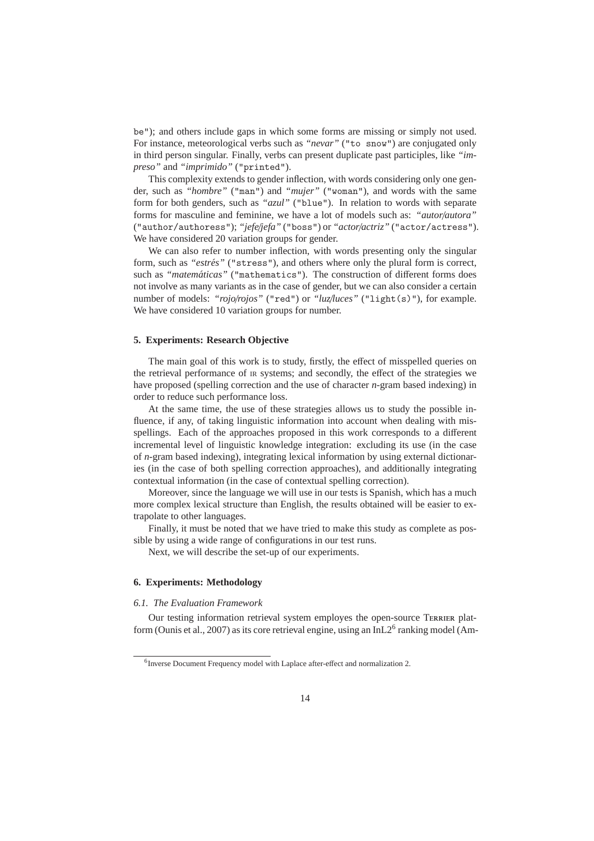be"); and others include gaps in which some forms are missing or simply not used. For instance, meteorological verbs such as *"nevar"* ("to snow") are conjugated only in third person singular. Finally, verbs can present duplicate past participles, like *"impreso"* and *"imprimido"* ("printed").

This complexity extends to gender inflection, with words considering only one gender, such as *"hombre"* ("man") and *"mujer"* ("woman"), and words with the same form for both genders, such as *"azul"* ("blue"). In relation to words with separate forms for masculine and feminine, we have a lot of models such as: *"autor*/*autora"* ("author/authoress"); *"jefe*/*jefa"* ("boss") or *"actor*/*actriz"* ("actor/actress"). We have considered 20 variation groups for gender.

We can also refer to number inflection, with words presenting only the singular form, such as "estrés" ("stress"), and others where only the plural form is correct, such as "matemáticas" ("mathematics"). The construction of different forms does not involve as many variants as in the case of gender, but we can also consider a certain number of models: "*rojo/rojos*" ("red") or "*luz/luces*" ("light(s)"), for example. We have considered 10 variation groups for number.

### **5. Experiments: Research Objective**

The main goal of this work is to study, firstly, the effect of misspelled queries on the retrieval performance of IR systems; and secondly, the effect of the strategies we have proposed (spelling correction and the use of character *n*-gram based indexing) in order to reduce such performance loss.

At the same time, the use of these strategies allows us to study the possible influence, if any, of taking linguistic information into account when dealing with misspellings. Each of the approaches proposed in this work corresponds to a different incremental level of linguistic knowledge integration: excluding its use (in the case of *n*-gram based indexing), integrating lexical information by using external dictionaries (in the case of both spelling correction approaches), and additionally integrating contextual information (in the case of contextual spelling correction).

Moreover, since the language we will use in our tests is Spanish, which has a much more complex lexical structure than English, the results obtained will be easier to extrapolate to other languages.

Finally, it must be noted that we have tried to make this study as complete as possible by using a wide range of configurations in our test runs.

Next, we will describe the set-up of our experiments.

# **6. Experiments: Methodology**

### *6.1. The Evaluation Framework*

Our testing information retrieval system employes the open-source TERRIER platform (Ounis et al., 2007) as its core retrieval engine, using an InL2 $^6$  ranking model (Am-

<sup>&</sup>lt;sup>6</sup> Inverse Document Frequency model with Laplace after-effect and normalization 2.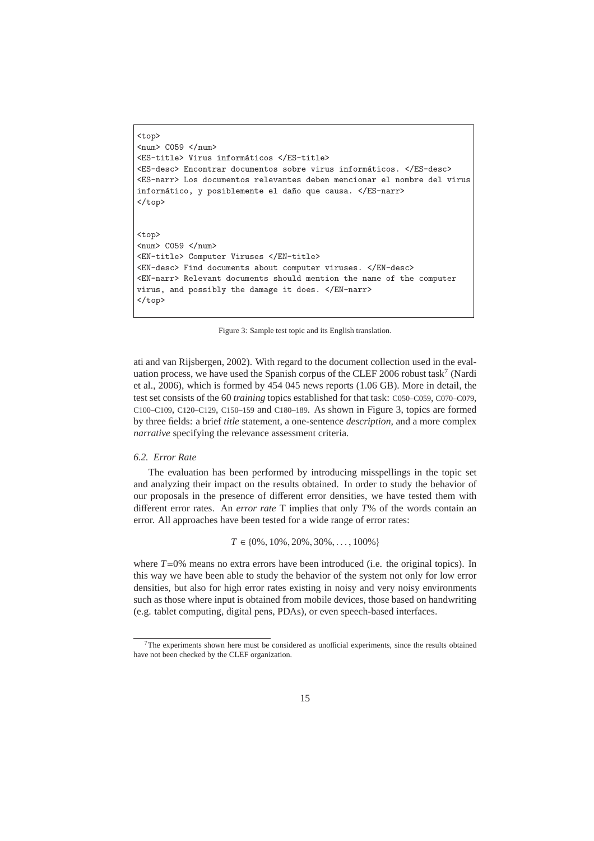```
<top>
\langlenum> C059 \langle/num>
<ES-title> Virus informáticos </ES-title>
<ES-desc> Encontrar documentos sobre virus inform´aticos. </ES-desc>
<ES-narr> Los documentos relevantes deben mencionar el nombre del virus
informático, y posiblemente el daño que causa. </ES-narr>
</top>
<top>
<num> C059 </num>
```
<EN-title> Computer Viruses </EN-title> <EN-desc> Find documents about computer viruses. </EN-desc> <EN-narr> Relevant documents should mention the name of the computer virus, and possibly the damage it does. </EN-narr> </top>

Figure 3: Sample test topic and its English translation.

ati and van Rijsbergen, 2002). With regard to the document collection used in the evaluation process, we have used the Spanish corpus of the CLEF 2006 robust task<sup>7</sup> (Nardi et al., 2006), which is formed by 454 045 news reports (1.06 GB). More in detail, the test set consists of the 60 *training* topics established for that task: C050–C059, C070–C079, C100–C109, C120–C129, C150–159 and C180–189. As shown in Figure 3, topics are formed by three fields: a brief *title* statement, a one-sentence *description*, and a more complex *narrative* specifying the relevance assessment criteria.

# *6.2. Error Rate*

The evaluation has been performed by introducing misspellings in the topic set and analyzing their impact on the results obtained. In order to study the behavior of our proposals in the presence of different error densities, we have tested them with different error rates. An *error rate* T implies that only *T*% of the words contain an error. All approaches have been tested for a wide range of error rates:

 $T \in \{0\%, 10\%, 20\%, 30\%, \dots, 100\% \}$ 

where  $T=0\%$  means no extra errors have been introduced (i.e. the original topics). In this way we have been able to study the behavior of the system not only for low error densities, but also for high error rates existing in noisy and very noisy environments such as those where input is obtained from mobile devices, those based on handwriting (e.g. tablet computing, digital pens, PDAs), or even speech-based interfaces.

 $7$ The experiments shown here must be considered as unofficial experiments, since the results obtained have not been checked by the CLEF organization.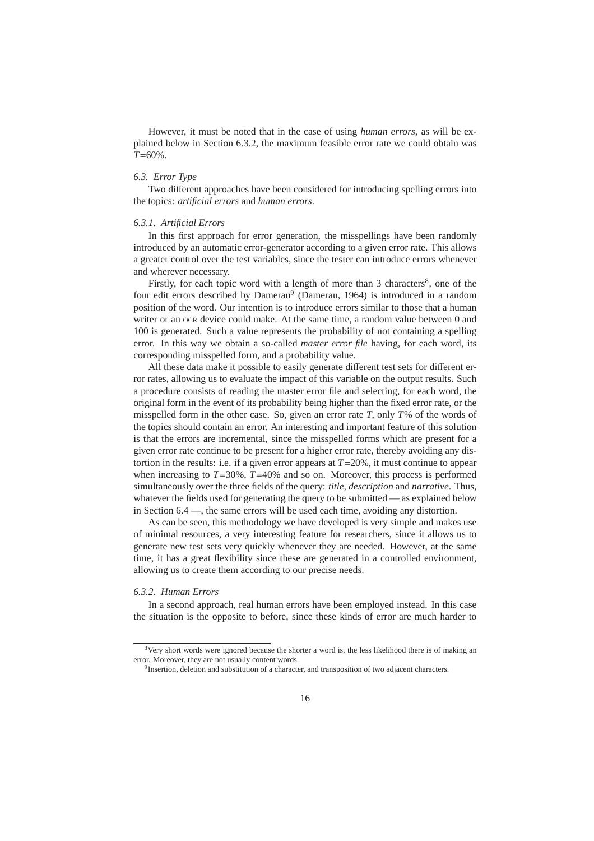However, it must be noted that in the case of using *human errors*, as will be explained below in Section 6.3.2, the maximum feasible error rate we could obtain was *T*=60%.

# *6.3. Error Type*

Two different approaches have been considered for introducing spelling errors into the topics: *artificial errors* and *human errors*.

### *6.3.1. Artificial Errors*

In this first approach for error generation, the misspellings have been randomly introduced by an automatic error-generator according to a given error rate. This allows a greater control over the test variables, since the tester can introduce errors whenever and wherever necessary.

Firstly, for each topic word with a length of more than 3 characters<sup>8</sup>, one of the four edit errors described by Damerau<sup>9</sup> (Damerau, 1964) is introduced in a random position of the word. Our intention is to introduce errors similar to those that a human writer or an ock device could make. At the same time, a random value between 0 and 100 is generated. Such a value represents the probability of not containing a spelling error. In this way we obtain a so-called *master error file* having, for each word, its corresponding misspelled form, and a probability value.

All these data make it possible to easily generate different test sets for different error rates, allowing us to evaluate the impact of this variable on the output results. Such a procedure consists of reading the master error file and selecting, for each word, the original form in the event of its probability being higher than the fixed error rate, or the misspelled form in the other case. So, given an error rate *T*, only *T*% of the words of the topics should contain an error. An interesting and important feature of this solution is that the errors are incremental, since the misspelled forms which are present for a given error rate continue to be present for a higher error rate, thereby avoiding any distortion in the results: i.e. if a given error appears at *T*=20%, it must continue to appear when increasing to  $T=30\%$ ,  $T=40\%$  and so on. Moreover, this process is performed simultaneously over the three fields of the query: *title*, *description* and *narrative*. Thus, whatever the fields used for generating the query to be submitted — as explained below in Section 6.4 —, the same errors will be used each time, avoiding any distortion.

As can be seen, this methodology we have developed is very simple and makes use of minimal resources, a very interesting feature for researchers, since it allows us to generate new test sets very quickly whenever they are needed. However, at the same time, it has a great flexibility since these are generated in a controlled environment, allowing us to create them according to our precise needs.

### *6.3.2. Human Errors*

In a second approach, real human errors have been employed instead. In this case the situation is the opposite to before, since these kinds of error are much harder to

<sup>&</sup>lt;sup>8</sup>Very short words were ignored because the shorter a word is, the less likelihood there is of making an error. Moreover, they are not usually content words.

<sup>&</sup>lt;sup>9</sup> Insertion, deletion and substitution of a character, and transposition of two adjacent characters.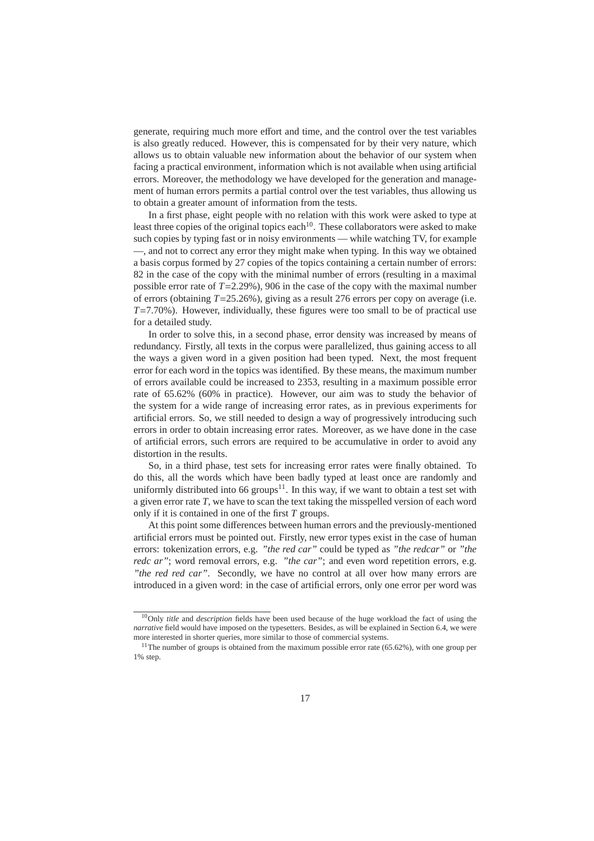generate, requiring much more effort and time, and the control over the test variables is also greatly reduced. However, this is compensated for by their very nature, which allows us to obtain valuable new information about the behavior of our system when facing a practical environment, information which is not available when using artificial errors. Moreover, the methodology we have developed for the generation and management of human errors permits a partial control over the test variables, thus allowing us to obtain a greater amount of information from the tests.

In a first phase, eight people with no relation with this work were asked to type at least three copies of the original topics each<sup>10</sup>. These collaborators were asked to make such copies by typing fast or in noisy environments — while watching TV, for example —, and not to correct any error they might make when typing. In this way we obtained a basis corpus formed by 27 copies of the topics containing a certain number of errors: 82 in the case of the copy with the minimal number of errors (resulting in a maximal possible error rate of *T*=2.29%), 906 in the case of the copy with the maximal number of errors (obtaining  $T=25.26\%$ ), giving as a result 276 errors per copy on average (i.e. *T*=7.70%). However, individually, these figures were too small to be of practical use for a detailed study.

In order to solve this, in a second phase, error density was increased by means of redundancy. Firstly, all texts in the corpus were parallelized, thus gaining access to all the ways a given word in a given position had been typed. Next, the most frequent error for each word in the topics was identified. By these means, the maximum number of errors available could be increased to 2353, resulting in a maximum possible error rate of 65.62% (60% in practice). However, our aim was to study the behavior of the system for a wide range of increasing error rates, as in previous experiments for artificial errors. So, we still needed to design a way of progressively introducing such errors in order to obtain increasing error rates. Moreover, as we have done in the case of artificial errors, such errors are required to be accumulative in order to avoid any distortion in the results.

So, in a third phase, test sets for increasing error rates were finally obtained. To do this, all the words which have been badly typed at least once are randomly and uniformly distributed into 66 groups<sup>11</sup>. In this way, if we want to obtain a test set with a given error rate *T*, we have to scan the text taking the misspelled version of each word only if it is contained in one of the first *T* groups.

At this point some differences between human errors and the previously-mentioned artificial errors must be pointed out. Firstly, new error types exist in the case of human errors: tokenization errors, e.g. *"the red car"* could be typed as *"the redcar"* or *"the redc ar"*; word removal errors, e.g. *"the car"*; and even word repetition errors, e.g. *"the red red car"*. Secondly, we have no control at all over how many errors are introduced in a given word: in the case of artificial errors, only one error per word was

<sup>10</sup>Only *title* and *description* fields have been used because of the huge workload the fact of using the *narrative* field would have imposed on the typesetters. Besides, as will be explained in Section 6.4, we were more interested in shorter queries, more similar to those of commercial systems.

 $11$ The number of groups is obtained from the maximum possible error rate (65.62%), with one group per 1% step.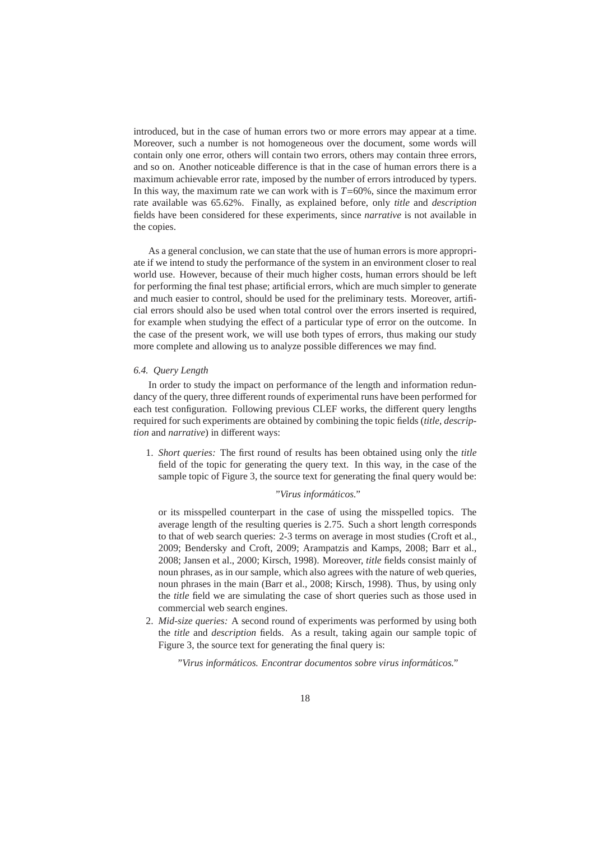introduced, but in the case of human errors two or more errors may appear at a time. Moreover, such a number is not homogeneous over the document, some words will contain only one error, others will contain two errors, others may contain three errors, and so on. Another noticeable difference is that in the case of human errors there is a maximum achievable error rate, imposed by the number of errors introduced by typers. In this way, the maximum rate we can work with is  $T=60\%$ , since the maximum error rate available was 65.62%. Finally, as explained before, only *title* and *description* fields have been considered for these experiments, since *narrative* is not available in the copies.

As a general conclusion, we can state that the use of human errors is more appropriate if we intend to study the performance of the system in an environment closer to real world use. However, because of their much higher costs, human errors should be left for performing the final test phase; artificial errors, which are much simpler to generate and much easier to control, should be used for the preliminary tests. Moreover, artificial errors should also be used when total control over the errors inserted is required, for example when studying the effect of a particular type of error on the outcome. In the case of the present work, we will use both types of errors, thus making our study more complete and allowing us to analyze possible differences we may find.

### *6.4. Query Length*

In order to study the impact on performance of the length and information redundancy of the query, three different rounds of experimental runs have been performed for each test configuration. Following previous CLEF works, the different query lengths required for such experiments are obtained by combining the topic fields (*title*, *description* and *narrative*) in different ways:

1. *Short queries:* The first round of results has been obtained using only the *title* field of the topic for generating the query text. In this way, in the case of the sample topic of Figure 3, the source text for generating the final query would be:

# *"Virus inform´aticos."*

or its misspelled counterpart in the case of using the misspelled topics. The average length of the resulting queries is 2.75. Such a short length corresponds to that of web search queries: 2-3 terms on average in most studies (Croft et al., 2009; Bendersky and Croft, 2009; Arampatzis and Kamps, 2008; Barr et al., 2008; Jansen et al., 2000; Kirsch, 1998). Moreover, *title* fields consist mainly of noun phrases, as in our sample, which also agrees with the nature of web queries, noun phrases in the main (Barr et al., 2008; Kirsch, 1998). Thus, by using only the *title* field we are simulating the case of short queries such as those used in commercial web search engines.

2. *Mid-size queries:* A second round of experiments was performed by using both the *title* and *description* fields. As a result, taking again our sample topic of Figure 3, the source text for generating the final query is:

*"Virus inform´aticos. Encontrar documentos sobre virus inform´aticos."*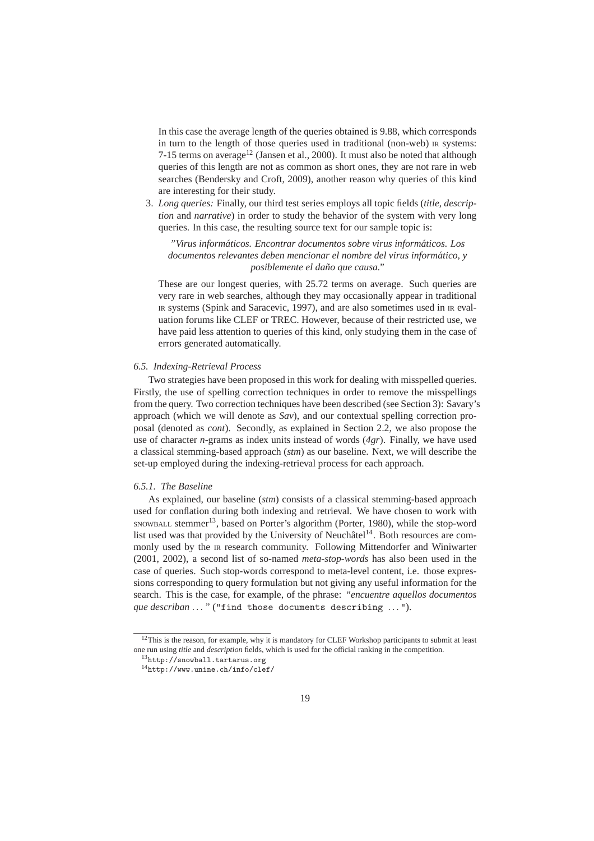In this case the average length of the queries obtained is 9.88, which corresponds in turn to the length of those queries used in traditional (non-web) IR systems: 7-15 terms on average<sup>12</sup> (Jansen et al., 2000). It must also be noted that although queries of this length are not as common as short ones, they are not rare in web searches (Bendersky and Croft, 2009), another reason why queries of this kind are interesting for their study.

3. *Long queries:* Finally, our third test series employs all topic fields (*title*, *description* and *narrative*) in order to study the behavior of the system with very long queries. In this case, the resulting source text for our sample topic is:

*"Virus inform´aticos. Encontrar documentos sobre virus inform´aticos. Los documentos relevantes deben mencionar el nombre del virus inform´atico, y posiblemente el da˜no que causa."*

These are our longest queries, with 25.72 terms on average. Such queries are very rare in web searches, although they may occasionally appear in traditional IR systems (Spink and Saracevic, 1997), and are also sometimes used in IR evaluation forums like CLEF or TREC. However, because of their restricted use, we have paid less attention to queries of this kind, only studying them in the case of errors generated automatically.

# *6.5. Indexing-Retrieval Process*

Two strategies have been proposed in this work for dealing with misspelled queries. Firstly, the use of spelling correction techniques in order to remove the misspellings from the query. Two correction techniques have been described (see Section 3): Savary's approach (which we will denote as *Sav*), and our contextual spelling correction proposal (denoted as *cont*). Secondly, as explained in Section 2.2, we also propose the use of character *n*-grams as index units instead of words (*4gr*). Finally, we have used a classical stemming-based approach (*stm*) as our baseline. Next, we will describe the set-up employed during the indexing-retrieval process for each approach.

### *6.5.1. The Baseline*

As explained, our baseline (*stm*) consists of a classical stemming-based approach used for conflation during both indexing and retrieval. We have chosen to work with SNOWBALL stemmer<sup>13</sup>, based on Porter's algorithm (Porter, 1980), while the stop-word list used was that provided by the University of Neuchâtel<sup>14</sup>. Both resources are commonly used by the IR research community. Following Mittendorfer and Winiwarter (2001, 2002), a second list of so-named *meta-stop-words* has also been used in the case of queries. Such stop-words correspond to meta-level content, i.e. those expressions corresponding to query formulation but not giving any useful information for the search. This is the case, for example, of the phrase: *"encuentre aquellos documentos que describan* ... " ("find those documents describing ...").

<sup>&</sup>lt;sup>12</sup>This is the reason, for example, why it is mandatory for CLEF Workshop participants to submit at least one run using *title* and *description* fields, which is used for the official ranking in the competition.

<sup>13</sup>http://snowball.tartarus.org

<sup>14</sup>http://www.unine.ch/info/clef/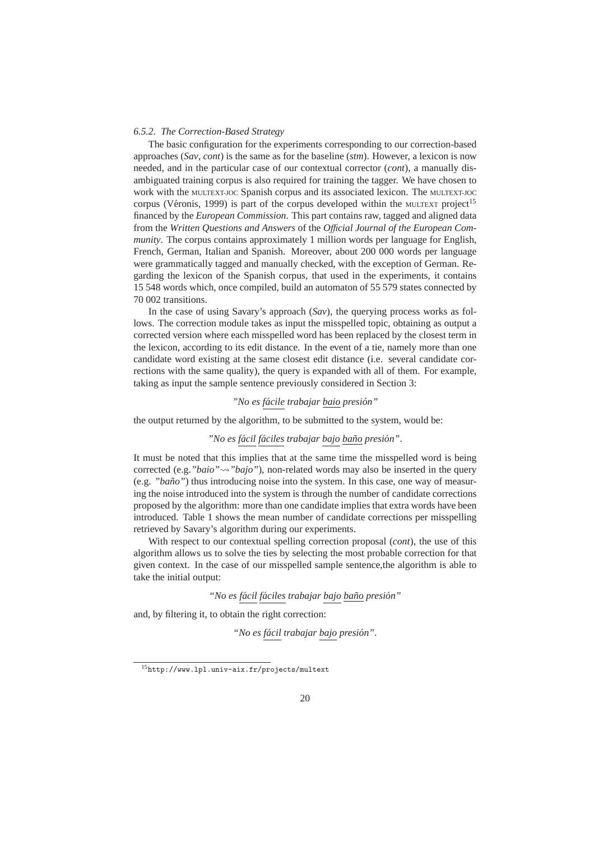### *6.5.2. The Correction-Based Strategy*

The basic configuration for the experiments corresponding to our correction-based approaches (*Sav*, *cont*) is the same as for the baseline (*stm*). However, a lexicon is now needed, and in the particular case of our contextual corrector (*cont*), a manually disambiguated training corpus is also required for training the tagger. We have chosen to work with the MULTEXT-JOC Spanish corpus and its associated lexicon. The MULTEXT-JOC corpus (Véronis, 1999) is part of the corpus developed within the  $\mu$ ULTEXT project<sup>15</sup> financed by the *European Commission*. This part contains raw, tagged and aligned data from the *Written Questions and Answers* of the *O*ffi*cial Journal of the European Community*. The corpus contains approximately 1 million words per language for English, French, German, Italian and Spanish. Moreover, about 200 000 words per language were grammatically tagged and manually checked, with the exception of German. Regarding the lexicon of the Spanish corpus, that used in the experiments, it contains 15 548 words which, once compiled, build an automaton of 55 579 states connected by 70 002 transitions.

In the case of using Savary's approach (*Sav*), the querying process works as follows. The correction module takes as input the misspelled topic, obtaining as output a corrected version where each misspelled word has been replaced by the closest term in the lexicon, according to its edit distance. In the event of a tie, namely more than one candidate word existing at the same closest edit distance (i.e. several candidate corrections with the same quality), the query is expanded with all of them. For example, taking as input the sample sentence previously considered in Section 3:

# *"No es f´acile trabajar baio presi´on"*

the output returned by the algorithm, to be submitted to the system, would be:

#### *"No es f´acil f´aciles trabajar bajo ba˜no presi´on"*.

It must be noted that this implies that at the same time the misspelled word is being corrected (e.g. "*baio*" $\rightarrow$ "*bajo*"), non-related words may also be inserted in the query (e.g. *"ba˜no"*) thus introducing noise into the system. In this case, one way of measuring the noise introduced into the system is through the number of candidate corrections proposed by the algorithm: more than one candidate implies that extra words have been introduced. Table 1 shows the mean number of candidate corrections per misspelling retrieved by Savary's algorithm during our experiments.

With respect to our contextual spelling correction proposal (*cont*), the use of this algorithm allows us to solve the ties by selecting the most probable correction for that given context. In the case of our misspelled sample sentence,the algorithm is able to take the initial output:

*"No es f´acil f´aciles trabajar bajo ba˜no presi´on"*

and, by filtering it, to obtain the right correction:

*"No es f´acil trabajar bajo presi´on"*.

<sup>15</sup>http://www.lpl.univ-aix.fr/projects/multext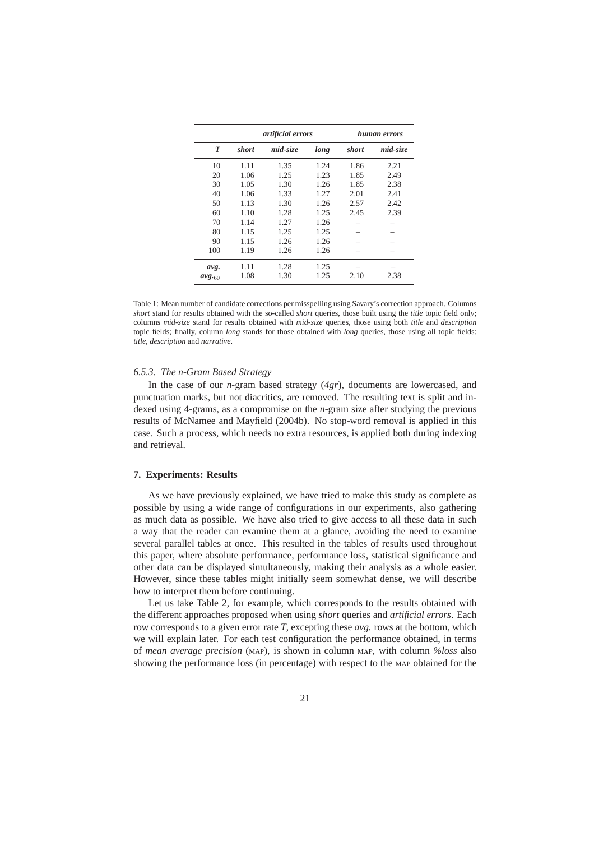|                  |       | artificial errors |      | human errors |          |  |  |
|------------------|-------|-------------------|------|--------------|----------|--|--|
| $\boldsymbol{T}$ | short | mid-size          | long | short        | mid-size |  |  |
| 10               | 1.11  | 1.35              | 1.24 | 1.86         | 2.21     |  |  |
| 20               | 1.06  | 1.25              | 1.23 | 1.85         | 2.49     |  |  |
| 30               | 1.05  | 1.30              | 1.26 | 1.85         | 2.38     |  |  |
| 40               | 1.06  | 1.33              | 1.27 | 2.01         | 2.41     |  |  |
| 50               | 1.13  | 1.30              | 1.26 | 2.57         | 2.42     |  |  |
| 60               | 1.10  | 1.28              | 1.25 | 2.45         | 2.39     |  |  |
| 70               | 1.14  | 1.27              | 1.26 |              |          |  |  |
| 80               | 1.15  | 1.25              | 1.25 |              |          |  |  |
| 90               | 1.15  | 1.26              | 1.26 |              |          |  |  |
| 100              | 1.19  | 1.26              | 1.26 |              |          |  |  |
| avg.             | 1.11  | 1.28              | 1.25 |              |          |  |  |
| $avg_{.60}$      | 1.08  | 1.30              | 1.25 | 2.10         | 2.38     |  |  |

Table 1: Mean number of candidate corrections per misspelling using Savary's correction approach. Columns *short* stand for results obtained with the so-called *short* queries, those built using the *title* topic field only; columns *mid-size* stand for results obtained with *mid-size* queries, those using both *title* and *description* topic fields; finally, column *long* stands for those obtained with *long* queries, those using all topic fields: *title*, *description* and *narrative*.

#### *6.5.3. The n-Gram Based Strategy*

In the case of our *n*-gram based strategy (*4gr*), documents are lowercased, and punctuation marks, but not diacritics, are removed. The resulting text is split and indexed using 4-grams, as a compromise on the *n*-gram size after studying the previous results of McNamee and Mayfield (2004b). No stop-word removal is applied in this case. Such a process, which needs no extra resources, is applied both during indexing and retrieval.

# **7. Experiments: Results**

As we have previously explained, we have tried to make this study as complete as possible by using a wide range of configurations in our experiments, also gathering as much data as possible. We have also tried to give access to all these data in such a way that the reader can examine them at a glance, avoiding the need to examine several parallel tables at once. This resulted in the tables of results used throughout this paper, where absolute performance, performance loss, statistical significance and other data can be displayed simultaneously, making their analysis as a whole easier. However, since these tables might initially seem somewhat dense, we will describe how to interpret them before continuing.

Let us take Table 2, for example, which corresponds to the results obtained with the different approaches proposed when using *short* queries and *artificial errors*. Each row corresponds to a given error rate *T*, excepting these *avg.* rows at the bottom, which we will explain later. For each test configuration the performance obtained, in terms of *mean average precision* (MAP), is shown in column MAP, with column %loss also showing the performance loss (in percentage) with respect to the MAP obtained for the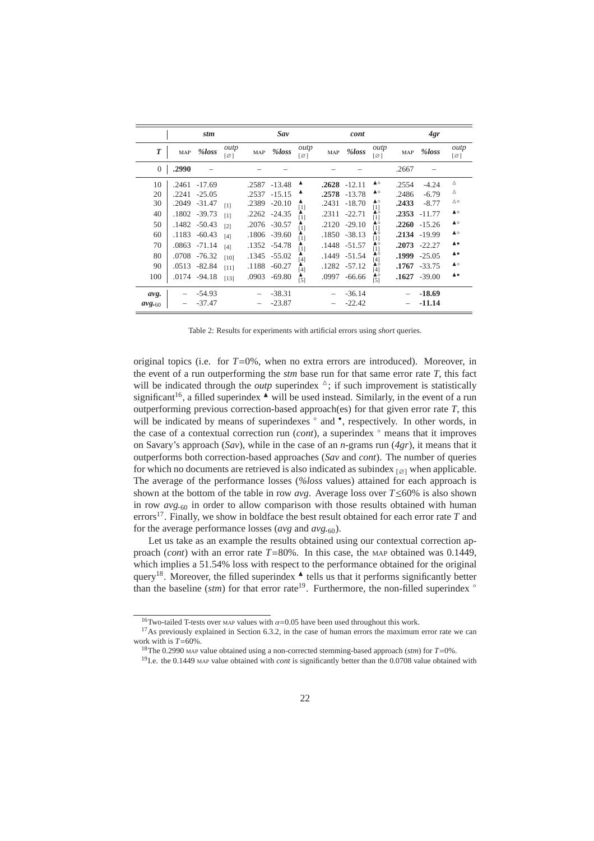|             |            | stm             |                   |       | Sav             |                                     |            | cont            |                                             |       | 4gr             |                          |
|-------------|------------|-----------------|-------------------|-------|-----------------|-------------------------------------|------------|-----------------|---------------------------------------------|-------|-----------------|--------------------------|
| T           | <b>MAP</b> | %loss           | outp<br>[Ø]       | MAP   | %loss           | outp<br>$\lceil \varnothing \rceil$ | <b>MAP</b> | %loss           | outp<br>$\lceil \varnothing \rceil$         | MAP   | %loss           | outp<br>[Ø]              |
| $\theta$    | .2990      |                 |                   |       |                 |                                     |            |                 |                                             | .2667 |                 |                          |
| 10          | .2461      | $-17.69$        |                   | .2587 | $-13.48$        | ▲                                   |            | $.2628 - 12.11$ | ▲○                                          | .2554 | $-4.24$         | Δ                        |
| 20          | .2241      | $-25.05$        |                   | .2537 | $-15.15$        |                                     |            | $.2578 - 13.78$ | ▲○                                          | .2486 | $-6.79$         | Δ                        |
| 30          | .2049      | $-31.47$        | [1]               | .2389 | $-20.10$        | [1]                                 | .2431      | $-18.70$        | ▲○<br>$[1]$                                 | .2433 | $-8.77$         | $\triangle$ $\circ$      |
| 40          |            | .1802 -39.73    | [1]               |       | $.2262 - 24.35$ | ▲<br>$[1]$                          | .2311      | $-22.71$        | ▲○                                          | .2353 | $-11.77$        | $\triangle$              |
| 50          |            | $.1482 - 50.43$ | $\lceil 2 \rceil$ |       | .2076 -30.57    | ▲<br>[1]                            | .2120      | $-29.10$        | $\mathbf{I}^1$<br>$[1]$                     | .2260 | $-15.26$        | $\triangle$              |
| 60          | .1183      | $-60.43$        | [4]               |       | $.1806 - 39.60$ | ▴<br>[1]                            |            | .1850 -38.13    | ▲○                                          |       | .2134 -19.99    | $\triangle$              |
| 70          | .0863      | $-71.14$        | [4]               |       | .1352 -54.78    | ▴<br>[1]                            |            | .1448 -51.57    | $\bar{[}1]$<br>$[1]$                        | .2073 | $-22.27$        | $\blacktriangle \bullet$ |
| 80          | .0708      | $-76.32$        | [10]              |       | .1345 -55.02    | $\overline{[4]}$                    |            | .1449 -51.54    | ە∡                                          | .1999 | $-25.05$        | $\blacktriangle \bullet$ |
| 90          | .0513      | $-82.84$        | $[11]$            |       | .1188 -60.27    | ▴<br>[4]                            |            | .1282 -57.12    | $\bar{[4]}$                                 |       | $.1767 - 33.75$ | $\triangle$              |
| 100         | .0174      | $-94.18$        | [13]              | .0903 | $-69.80$        | $[5]$                               | .0997      | $-66.66$        | $\begin{bmatrix} 4 \\ 1 \\ 6 \end{bmatrix}$ |       | $.1627 - 39.00$ | $\blacktriangle \bullet$ |
| avg.        |            | $-54.93$        |                   |       | $-38.31$        |                                     |            | $-36.14$        |                                             |       | $-18.69$        |                          |
| $avg_{.60}$ |            | -37.47          |                   |       | $-23.87$        |                                     |            | $-22.42$        |                                             |       | $-11.14$        |                          |

Table 2: Results for experiments with artificial errors using *short* queries.

original topics (i.e. for  $T=0\%$ , when no extra errors are introduced). Moreover, in the event of a run outperforming the *stm* base run for that same error rate *T*, this fact will be indicated through the *outp* superindex  $\Delta$ ; if such improvement is statistically significant<sup>16</sup>, a filled superindex  $\triangle$  will be used instead. Similarly, in the event of a run outperforming previous correction-based approach(es) for that given error rate *T*, this will be indicated by means of superindexes  $\degree$  and  $\degree$ , respectively. In other words, in the case of a contextual correction run (*cont*), a superindex ◦ means that it improves on Savary's approach (*Sav*), while in the case of an *n*-grams run (*4gr*), it means that it outperforms both correction-based approaches (*Sav* and *cont*). The number of queries for which no documents are retrieved is also indicated as subindex  $\mathfrak{q}_{\alpha}$  when applicable. The average of the performance losses (*%loss* values) attained for each approach is shown at the bottom of the table in row *avg*. Average loss over *T*≤60% is also shown in row *avg.*<sup>60</sup> in order to allow comparison with those results obtained with human errors<sup>17</sup>. Finally, we show in boldface the best result obtained for each error rate  $T$  and for the average performance losses (*avg* and *avg.*60).

Let us take as an example the results obtained using our contextual correction approach (*cont*) with an error rate *T*=80%. In this case, the MAP obtained was 0.1449, which implies a 51.54% loss with respect to the performance obtained for the original query<sup>18</sup>. Moreover, the filled superindex  $\triangle$  tells us that it performs significantly better than the baseline (*stm*) for that error rate<sup>19</sup>. Furthermore, the non-filled superindex <sup>◦</sup>

<sup>&</sup>lt;sup>16</sup>Two-tailed T-tests over MAP values with  $\alpha$ =0.05 have been used throughout this work.

 $17$ As previously explained in Section 6.3.2, in the case of human errors the maximum error rate we can work with is *T*=60%.

<sup>18</sup>The 0.2990 MAP value obtained using a non-corrected stemming-based approach (*stm*) for *T*=0%.

<sup>&</sup>lt;sup>19</sup>I.e. the 0.1449 MAP value obtained with *cont* is significantly better than the 0.0708 value obtained with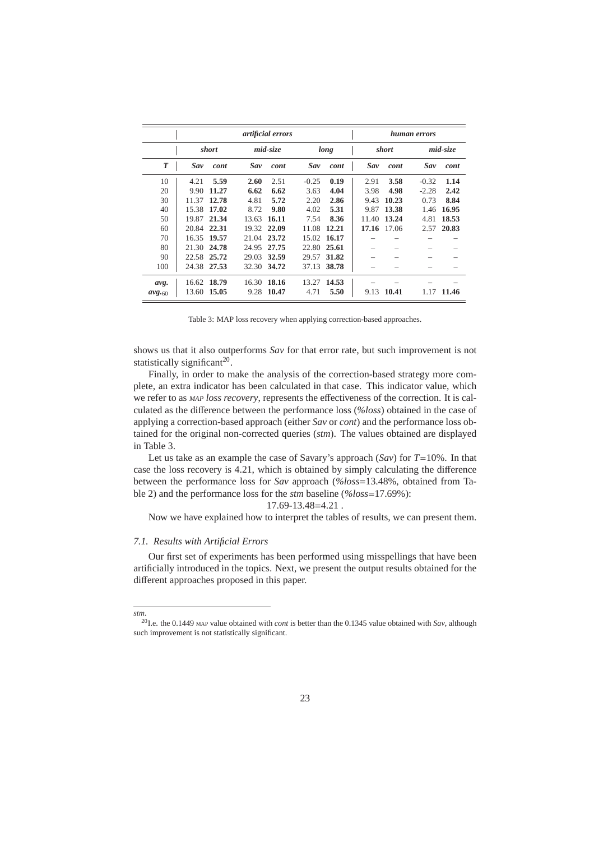|             |       |             | artificial errors | human errors |         |       |       |              |         |          |  |
|-------------|-------|-------------|-------------------|--------------|---------|-------|-------|--------------|---------|----------|--|
|             |       | short       |                   | mid-size     |         | long  |       | <i>short</i> |         | mid-size |  |
| T           | Sav   | cont        | Sav               | cont         | Sav     | cont  | Sav   | cont         | Sav     | cont     |  |
| 10          | 4.21  | 5.59        | 2.60              | 2.51         | $-0.25$ | 0.19  | 2.91  | 3.58         | $-0.32$ | 1.14     |  |
| 20          | 9.90  | 11.27       | 6.62              | 6.62         | 3.63    | 4.04  | 3.98  | 4.98         | $-2.28$ | 2.42     |  |
| 30          | 11.37 | 12.78       | 4.81              | 5.72         | 2.20    | 2.86  | 9.43  | 10.23        | 0.73    | 8.84     |  |
| 40          | 15.38 | 17.02       | 8.72              | 9.80         | 4.02    | 5.31  | 9.87  | 13.38        | 1.46    | 16.95    |  |
| 50          | 19.87 | 21.34       | 13.63             | 16.11        | 7.54    | 8.36  | 11.40 | 13.24        | 4.81    | 18.53    |  |
| 60          | 20.84 | 22.31       | 19.32             | 22.09        | 11.08   | 12.21 | 17.16 | 17.06        | 2.57    | 20.83    |  |
| 70          | 16.35 | 19.57       | 21.04             | 23.72        | 15.02   | 16.17 |       |              |         |          |  |
| 80          |       | 21.30 24.78 | 24.95             | 27.75        | 22.80   | 25.61 |       |              |         |          |  |
| 90          |       | 22.58 25.72 | 29.03             | 32.59        | 29.57   | 31.82 |       |              |         |          |  |
| 100         |       | 24.38 27.53 | 32.30             | 34.72        | 37.13   | 38.78 |       |              |         |          |  |
| avg.        | 16.62 | 18.79       | 16.30             | 18.16        | 13.27   | 14.53 |       |              |         |          |  |
| $avg_{.60}$ |       | 13.60 15.05 | 9.28              | 10.47        | 4.71    | 5.50  | 9.13  | 10.41        | 1.17    | 11.46    |  |

Table 3: MAP loss recovery when applying correction-based approaches.

shows us that it also outperforms *Sav* for that error rate, but such improvement is not statistically significant<sup>20</sup>.

Finally, in order to make the analysis of the correction-based strategy more complete, an extra indicator has been calculated in that case. This indicator value, which we refer to as *MAP loss recovery*, represents the effectiveness of the correction. It is calculated as the difference between the performance loss (*%loss*) obtained in the case of applying a correction-based approach (either *Sav* or *cont*) and the performance loss obtained for the original non-corrected queries (*stm*). The values obtained are displayed in Table 3.

Let us take as an example the case of Savary's approach (*Sav*) for *T*=10%. In that case the loss recovery is 4.21, which is obtained by simply calculating the difference between the performance loss for *Sav* approach (*%loss*=13.48%, obtained from Table 2) and the performance loss for the *stm* baseline (*%loss*=17.69%):

17.69-13.48=4.21 .

Now we have explained how to interpret the tables of results, we can present them.

# *7.1. Results with Artificial Errors*

*stm*.

Our first set of experiments has been performed using misspellings that have been artificially introduced in the topics. Next, we present the output results obtained for the different approaches proposed in this paper.

<sup>20</sup>I.e. the 0.1449 MAP value obtained with *cont* is better than the 0.1345 value obtained with *Sav*, although such improvement is not statistically significant.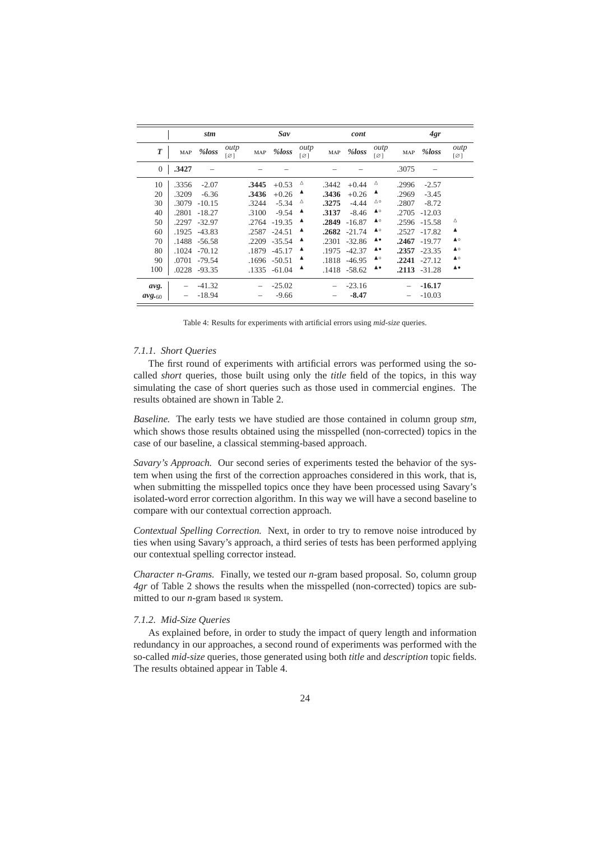|                  |            | stm      |             |            | Sav      |                                     |            | cont         |             |            | 4gr      |                          |  |
|------------------|------------|----------|-------------|------------|----------|-------------------------------------|------------|--------------|-------------|------------|----------|--------------------------|--|
| $\boldsymbol{T}$ | <b>MAP</b> | %loss    | outp<br>[Ø] | <b>MAP</b> | %loss    | outp<br>$\lceil \varnothing \rceil$ | <b>MAP</b> | %loss        | outp<br>[Ø] | <b>MAP</b> | %loss    | outp<br>[Ø]              |  |
| $\overline{0}$   | .3427      |          |             |            |          |                                     |            |              |             | .3075      |          |                          |  |
| 10               | .3356      | $-2.07$  |             | .3445      | $+0.53$  | Δ                                   | .3442      | $+0.44$      | Δ           | .2996      | $-2.57$  |                          |  |
| 20               | .3209      | $-6.36$  |             | .3436      | $+0.26$  | A                                   | .3436      | $+0.26$      | ▲           | .2969      | $-3.45$  |                          |  |
| 30               | .3079      | $-10.15$ |             | .3244      | $-5.34$  | Δ                                   | .3275      | $-4.44$      | ∆∘          | .2807      | $-8.72$  |                          |  |
| 40               | .2801      | $-18.27$ |             | .3100      | $-9.54$  | ▲                                   | .3137      | $-8.46$      | ▲○          | .2705      | $-12.03$ |                          |  |
| 50               | .2297      | $-32.97$ |             | .2764      | $-19.35$ | ▲                                   | .2849      | $-16.87$     | ▲○          | .2596      | $-15.58$ | Δ                        |  |
| 60               | .1925      | $-43.83$ |             | .2587      | $-24.51$ | ▲                                   | .2682      | $-21.74$     | ▲○          | .2527      | $-17.82$ | $\blacktriangle$         |  |
| 70               | .1488      | $-56.58$ |             | .2209      | $-35.54$ | ▲                                   | .2301      | $-32.86$     | ▲●          | .2467      | $-19.77$ | $\triangle$              |  |
| 80               | .1024      | $-70.12$ |             | .1879      | $-45.17$ | ▲                                   | .1975      | $-42.37$     | ▲●          | .2357      | $-23.35$ | $\triangle$              |  |
| 90               | .0701      | $-79.54$ |             | .1696      | $-50.51$ | ▲                                   | .1818      | $-46.95$     | ▲○          | .2241      | $-27.12$ | $\triangle$              |  |
| 100              | .0228      | $-93.35$ |             | .1335      | $-61.04$ | A                                   |            | .1418 -58.62 | ▲●          | .2113      | $-31.28$ | $\blacktriangle \bullet$ |  |
| avg.             |            | $-41.32$ |             |            | $-25.02$ |                                     |            | $-23.16$     |             |            | $-16.17$ |                          |  |
| $avg_{.60}$      |            | $-18.94$ |             |            | $-9.66$  |                                     |            | $-8.47$      |             |            | $-10.03$ |                          |  |

Table 4: Results for experiments with artificial errors using *mid-size* queries.

### *7.1.1. Short Queries*

The first round of experiments with artificial errors was performed using the socalled *short* queries, those built using only the *title* field of the topics, in this way simulating the case of short queries such as those used in commercial engines. The results obtained are shown in Table 2.

*Baseline.* The early tests we have studied are those contained in column group *stm*, which shows those results obtained using the misspelled (non-corrected) topics in the case of our baseline, a classical stemming-based approach.

*Savary's Approach.* Our second series of experiments tested the behavior of the system when using the first of the correction approaches considered in this work, that is, when submitting the misspelled topics once they have been processed using Savary's isolated-word error correction algorithm. In this way we will have a second baseline to compare with our contextual correction approach.

*Contextual Spelling Correction.* Next, in order to try to remove noise introduced by ties when using Savary's approach, a third series of tests has been performed applying our contextual spelling corrector instead.

*Character n-Grams.* Finally, we tested our *n*-gram based proposal. So, column group *4gr* of Table 2 shows the results when the misspelled (non-corrected) topics are submitted to our *n*-gram based IR system.

# *7.1.2. Mid-Size Queries*

As explained before, in order to study the impact of query length and information redundancy in our approaches, a second round of experiments was performed with the so-called *mid-size* queries, those generated using both *title* and *description* topic fields. The results obtained appear in Table 4.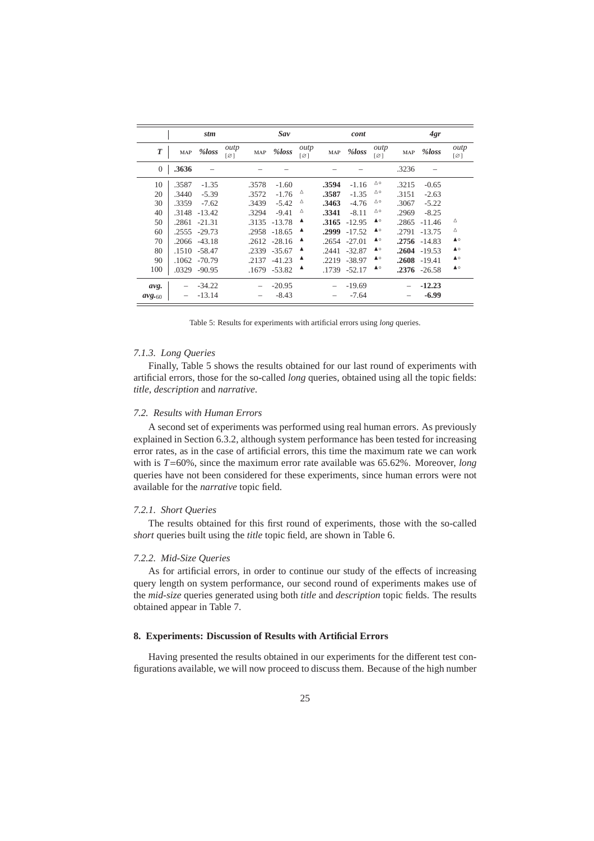|                  |            | stm      |                                     |            | Sav      |                                     |            | cont          |             |            | 4gr             |             |  |
|------------------|------------|----------|-------------------------------------|------------|----------|-------------------------------------|------------|---------------|-------------|------------|-----------------|-------------|--|
| $\boldsymbol{T}$ | <b>MAP</b> | %loss    | outp<br>$\lceil \varnothing \rceil$ | <b>MAP</b> | %loss    | outp<br>$\lceil \varnothing \rceil$ | <b>MAP</b> | %loss         | outp<br>[Ø] | <b>MAP</b> | %loss           | outp<br>[Ø] |  |
| $\mathbf{0}$     | .3636      |          |                                     |            |          |                                     |            |               |             | .3236      |                 |             |  |
| 10               | .3587      | $-1.35$  |                                     | .3578      | $-1.60$  |                                     | .3594      | $-1.16$       | ∆∘          | .3215      | $-0.65$         |             |  |
| 20               | .3440      | $-5.39$  |                                     | .3572      | $-1.76$  | Δ                                   | .3587      | $-1.35$       | ∆∘          | .3151      | $-2.63$         |             |  |
| 30               | .3359      | $-7.62$  |                                     | .3439      | $-5.42$  | Δ                                   | .3463      | $-4.76$       | ∆∘          | .3067      | $-5.22$         |             |  |
| 40               | .3148      | $-13.42$ |                                     | .3294      | $-9.41$  | Δ                                   | .3341      | $-8.11$       | ∆∘          | .2969      | $-8.25$         |             |  |
| 50               | .2861      | $-21.31$ |                                     | .3135      | $-13.78$ | ▲                                   | .3165      | $-12.95$      | ▲○          | .2865      | $-11.46$        | Δ           |  |
| 60               | .2555      | $-29.73$ |                                     | .2958      | $-18.65$ | $\blacktriangle$                    | .2999      | $-17.52$      | ▲○          | .2791      | $-13.75$        | Δ           |  |
| 70               | .2066      | $-43.18$ |                                     | .2612      | $-28.16$ | ▲                                   |            | .2654 -27.01  | ▲○          | .2756      | $-14.83$        | $\triangle$ |  |
| 80               | .1510      | $-58.47$ |                                     | .2339      | $-35.67$ | ▲                                   | .2441      | $-32.87$      | ▲○          | .2604      | $-19.53$        | ▲○          |  |
| 90               | .1062      | $-70.79$ |                                     | .2137      | $-41.23$ | ▲                                   | .2219      | $-38.97$      | ▲○          | .2608      | $-19.41$        | $\triangle$ |  |
| 100              | .0329      | $-90.95$ |                                     | .1679      | $-53.82$ | ▲                                   |            | .1739 - 52.17 | ▲○          |            | $.2376 - 26.58$ | $\triangle$ |  |
| avg.             |            | $-34.22$ |                                     |            | $-20.95$ |                                     |            | $-19.69$      |             |            | $-12.23$        |             |  |
| $avg_{.60}$      |            | $-13.14$ |                                     |            | $-8.43$  |                                     |            | $-7.64$       |             |            | $-6.99$         |             |  |

Table 5: Results for experiments with artificial errors using *long* queries.

### *7.1.3. Long Queries*

Finally, Table 5 shows the results obtained for our last round of experiments with artificial errors, those for the so-called *long* queries, obtained using all the topic fields: *title*, *description* and *narrative*.

# *7.2. Results with Human Errors*

A second set of experiments was performed using real human errors. As previously explained in Section 6.3.2, although system performance has been tested for increasing error rates, as in the case of artificial errors, this time the maximum rate we can work with is *T*=60%, since the maximum error rate available was 65.62%. Moreover, *long* queries have not been considered for these experiments, since human errors were not available for the *narrative* topic field.

# *7.2.1. Short Queries*

The results obtained for this first round of experiments, those with the so-called *short* queries built using the *title* topic field, are shown in Table 6.

## *7.2.2. Mid-Size Queries*

As for artificial errors, in order to continue our study of the effects of increasing query length on system performance, our second round of experiments makes use of the *mid-size* queries generated using both *title* and *description* topic fields. The results obtained appear in Table 7.

### **8. Experiments: Discussion of Results with Artificial Errors**

Having presented the results obtained in our experiments for the different test configurations available, we will now proceed to discuss them. Because of the high number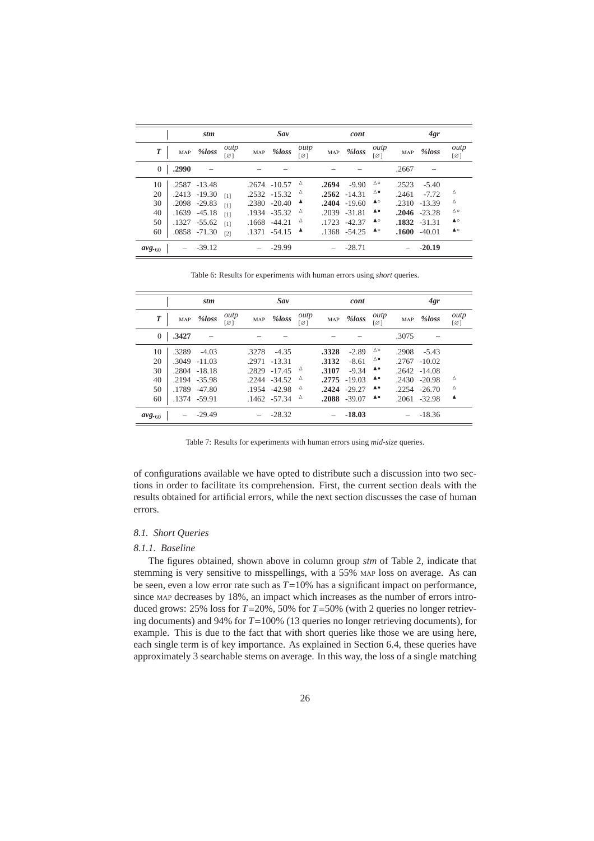|                  | stm        |              |                   | Sav   |                 |                  | cont  |                 |             | 4gr        |                 |                     |
|------------------|------------|--------------|-------------------|-------|-----------------|------------------|-------|-----------------|-------------|------------|-----------------|---------------------|
| $\boldsymbol{T}$ | <b>MAP</b> | %loss        | outp<br>[Ø]       | MAP   | %loss           | outp<br>[Ø]      | MAP   | %loss           | outp<br>[Ø] | <b>MAP</b> | %loss           | outp<br>[Ø]         |
| $\overline{0}$   | .2990      |              |                   |       |                 |                  |       |                 |             | .2667      |                 |                     |
| 10               | .2587      | $-13.48$     |                   |       | .2674 - 10.57   | $\Delta$         | .2694 | $-9.90$         | △○          | .2523      | $-5.40$         |                     |
| 20               |            | .2413 -19.30 | [1]               |       | $.2532 -15.32$  | $\triangle$      |       | $.2562 - 14.31$ | △●          | .2461      | $-7.72$         | Δ                   |
| 30               |            | .2098 -29.83 | [1]               | .2380 | $-20.40$        | $\blacktriangle$ |       | $.2404 - 19.60$ | ▲○          | .2310      | $-13.39$        | Δ                   |
| 40               | .1639      | $-45.18$     | [1]               |       | .1934 -35.32    | Δ                | .2039 | $-31.81$        | ▲●          |            | $.2046 - 23.28$ | $\triangle$ $\circ$ |
| 50               |            | .1327 -55.62 | [1]               |       | $.1668 -44.21$  | Δ                | .1723 | $-42.37$        | ▲○          |            | $.1832 - 31.31$ | ▲○                  |
| 60               |            | .0858 -71.30 | $\lceil 2 \rceil$ |       | $.1371 - 54.15$ | $\blacksquare$   |       | $.1368 - 54.25$ | ▲○          |            | $.1600 -40.01$  | $\triangle$         |
| $avg_{.60}$      |            | $-39.12$     |                   |       | $-29.99$        |                  |       | $-28.71$        |             |            | $-20.19$        |                     |

Table 6: Results for experiments with human errors using *short* queries.

|                |            | stm             |             |       | Sav            |             |            | cont            |             |            | 4gr             |             |
|----------------|------------|-----------------|-------------|-------|----------------|-------------|------------|-----------------|-------------|------------|-----------------|-------------|
| T              | <b>MAP</b> | %loss           | outp<br>[Ø] | MAP   | %loss          | outp<br>[Ø] | <b>MAP</b> | %loss           | outp<br>[Ø] | <b>MAP</b> | %loss           | outp<br>[Ø] |
| $\overline{0}$ | .3427      |                 |             |       |                |             |            |                 |             | .3075      |                 |             |
| 10             | .3289      | $-4.03$         |             | .3278 | $-4.35$        |             | .3328      | $-2.89$         | △○          | .2908      | $-5.43$         |             |
| 20             | .3049      | $-11.03$        |             | .2971 | $-13.31$       |             | .3132      | $-8.61$         | ∆∙          | .2767      | $-10.02$        |             |
| 30             |            | $.2804 - 18.18$ |             | .2829 | $-17.45$       | Δ           | .3107      | $-9.34$         | ▲●          |            | $.2642 - 14.08$ |             |
| 40             |            | .2194 -35.98    |             | .2244 | $-34.52$       | Δ           | .2775      | $-19.03$        | ▲●          | .2430      | $-20.98$        | Δ           |
| 50             | .1789      | $-47.80$        |             | .1954 | $-42.98$       | Δ           | .2424      | $-29.27$        | ▲●          | .2254      | $-26.70$        | Δ           |
| 60             |            | .1374 -59.91    |             |       | $.1462 -57.34$ | Δ           |            | $.2088 - 39.07$ | ▲●          |            | $.2061 - 32.98$ | ▲           |
| $avg_{.60}$    |            | $-29.49$        |             |       | $-28.32$       |             |            | $-18.03$        |             |            | $-18.36$        |             |

Table 7: Results for experiments with human errors using *mid-size* queries.

of configurations available we have opted to distribute such a discussion into two sections in order to facilitate its comprehension. First, the current section deals with the results obtained for artificial errors, while the next section discusses the case of human errors.

# *8.1. Short Queries*

# *8.1.1. Baseline*

The figures obtained, shown above in column group *stm* of Table 2, indicate that stemming is very sensitive to misspellings, with a 55% MAP loss on average. As can be seen, even a low error rate such as *T*=10% has a significant impact on performance, since MAP decreases by 18%, an impact which increases as the number of errors introduced grows: 25% loss for *T*=20%, 50% for *T*=50% (with 2 queries no longer retrieving documents) and 94% for *T*=100% (13 queries no longer retrieving documents), for example. This is due to the fact that with short queries like those we are using here, each single term is of key importance. As explained in Section 6.4, these queries have approximately 3 searchable stems on average. In this way, the loss of a single matching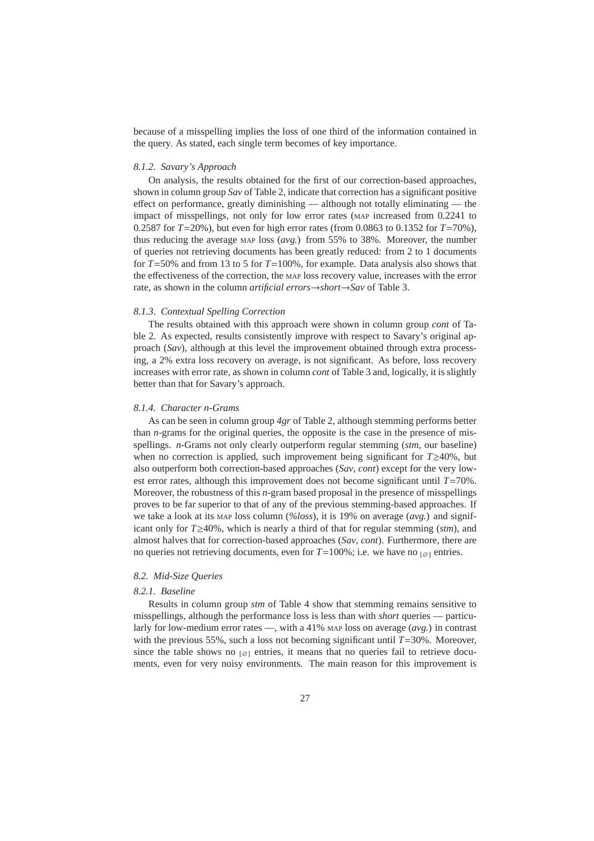because of a misspelling implies the loss of one third of the information contained in the query. As stated, each single term becomes of key importance.

# *8.1.2. Savary's Approach*

On analysis, the results obtained for the first of our correction-based approaches, shown in column group *Sav* of Table 2, indicate that correction has a significant positive effect on performance, greatly diminishing — although not totally eliminating — the impact of misspellings, not only for low error rates (MAP increased from 0.2241 to 0.2587 for *T*=20%), but even for high error rates (from 0.0863 to 0.1352 for *T*=70%), thus reducing the average MAP loss (*avg.*) from 55% to 38%. Moreover, the number of queries not retrieving documents has been greatly reduced: from 2 to 1 documents for *T*=50% and from 13 to 5 for *T*=100%, for example. Data analysis also shows that the effectiveness of the correction, the MAP loss recovery value, increases with the error rate, as shown in the column *artificial errors*→*short*→*Sav* of Table 3.

### *8.1.3. Contextual Spelling Correction*

The results obtained with this approach were shown in column group *cont* of Table 2. As expected, results consistently improve with respect to Savary's original approach (*Sav*), although at this level the improvement obtained through extra processing, a 2% extra loss recovery on average, is not significant. As before, loss recovery increases with error rate, as shown in column *cont* of Table 3 and, logically, it is slightly better than that for Savary's approach.

#### *8.1.4. Character n-Grams*

As can be seen in column group *4gr* of Table 2, although stemming performs better than *n*-grams for the original queries, the opposite is the case in the presence of misspellings. *n*-Grams not only clearly outperform regular stemming (*stm*, our baseline) when no correction is applied, such improvement being significant for *T*≥40%, but also outperform both correction-based approaches (*Sav*, *cont*) except for the very lowest error rates, although this improvement does not become significant until *T*=70%. Moreover, the robustness of this *n*-gram based proposal in the presence of misspellings proves to be far superior to that of any of the previous stemming-based approaches. If we take a look at its MAP loss column (*%loss*), it is 19% on average (*avg.*) and significant only for *T*≥40%, which is nearly a third of that for regular stemming (*stm*), and almost halves that for correction-based approaches (*Sav*, *cont*). Furthermore, there are no queries not retrieving documents, even for  $T=100\%$ ; i.e. we have no  $\lceil \varnothing \rceil$  entries.

# *8.2. Mid-Size Queries*

### *8.2.1. Baseline*

Results in column group *stm* of Table 4 show that stemming remains sensitive to misspellings, although the performance loss is less than with *short* queries — particularly for low-medium error rates —, with a 41% MAP loss on average (*avg.*) in contrast with the previous 55%, such a loss not becoming significant until  $T=30%$ . Moreover, since the table shows no  $\lceil \varnothing \rceil$  entries, it means that no queries fail to retrieve documents, even for very noisy environments. The main reason for this improvement is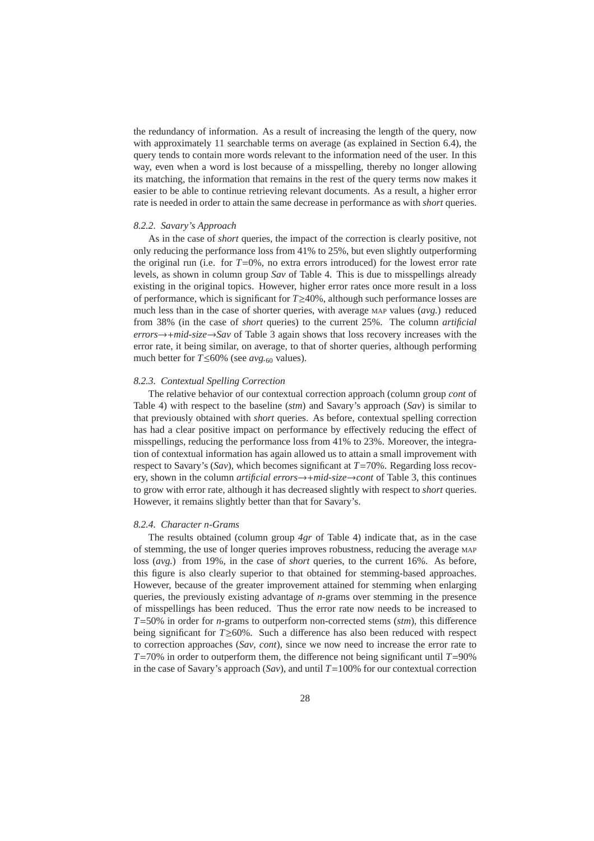the redundancy of information. As a result of increasing the length of the query, now with approximately 11 searchable terms on average (as explained in Section 6.4), the query tends to contain more words relevant to the information need of the user. In this way, even when a word is lost because of a misspelling, thereby no longer allowing its matching, the information that remains in the rest of the query terms now makes it easier to be able to continue retrieving relevant documents. As a result, a higher error rate is needed in order to attain the same decrease in performance as with *short* queries.

#### *8.2.2. Savary's Approach*

As in the case of *short* queries, the impact of the correction is clearly positive, not only reducing the performance loss from 41% to 25%, but even slightly outperforming the original run (i.e. for  $T=0\%$ , no extra errors introduced) for the lowest error rate levels, as shown in column group *Sav* of Table 4. This is due to misspellings already existing in the original topics. However, higher error rates once more result in a loss of performance, which is significant for *T*≥40%, although such performance losses are much less than in the case of shorter queries, with average MAP values (*avg.*) reduced from 38% (in the case of *short* queries) to the current 25%. The column *artificial errors*→+*mid-size*→*Sav* of Table 3 again shows that loss recovery increases with the error rate, it being similar, on average, to that of shorter queries, although performing much better for *T*≤60% (see *avg.*<sup>60</sup> values).

### *8.2.3. Contextual Spelling Correction*

The relative behavior of our contextual correction approach (column group *cont* of Table 4) with respect to the baseline (*stm*) and Savary's approach (*Sav*) is similar to that previously obtained with *short* queries. As before, contextual spelling correction has had a clear positive impact on performance by effectively reducing the effect of misspellings, reducing the performance loss from 41% to 23%. Moreover, the integration of contextual information has again allowed us to attain a small improvement with respect to Savary's (*Sav*), which becomes significant at *T*=70%. Regarding loss recovery, shown in the column *artificial errors*→+*mid-size*→*cont* of Table 3, this continues to grow with error rate, although it has decreased slightly with respect to *short* queries. However, it remains slightly better than that for Savary's.

### *8.2.4. Character n-Grams*

The results obtained (column group *4gr* of Table 4) indicate that, as in the case of stemming, the use of longer queries improves robustness, reducing the average MAP loss (*avg.*) from 19%, in the case of *short* queries, to the current 16%. As before, this figure is also clearly superior to that obtained for stemming-based approaches. However, because of the greater improvement attained for stemming when enlarging queries, the previously existing advantage of *n*-grams over stemming in the presence of misspellings has been reduced. Thus the error rate now needs to be increased to *T*=50% in order for *n*-grams to outperform non-corrected stems (*stm*), this difference being significant for *T*≥60%. Such a difference has also been reduced with respect to correction approaches (*Sav*, *cont*), since we now need to increase the error rate to  $T=70\%$  in order to outperform them, the difference not being significant until  $T=90\%$ in the case of Savary's approach  $(Sav)$ , and until  $T=100\%$  for our contextual correction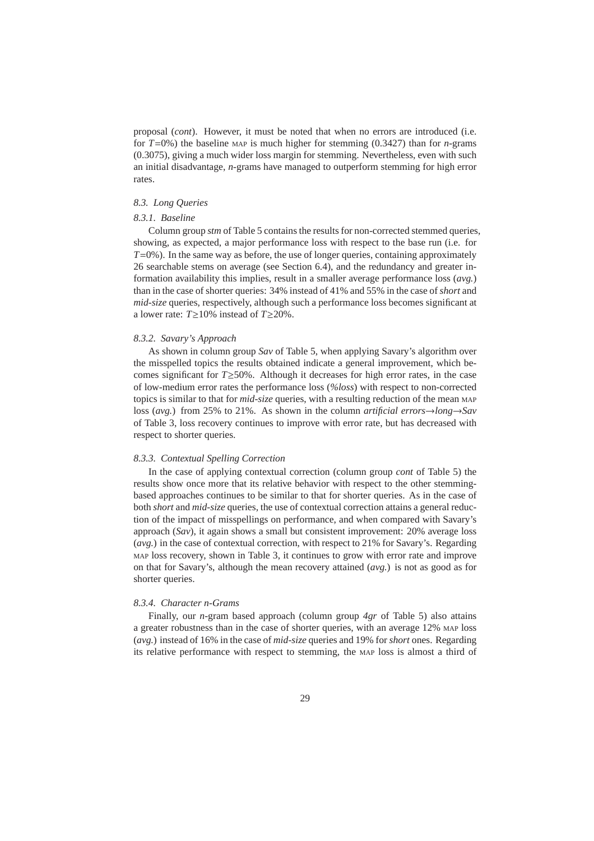proposal (*cont*). However, it must be noted that when no errors are introduced (i.e. for  $T=0$ %) the baseline MAP is much higher for stemming (0.3427) than for *n*-grams (0.3075), giving a much wider loss margin for stemming. Nevertheless, even with such an initial disadvantage, *n*-grams have managed to outperform stemming for high error rates.

# *8.3. Long Queries*

### *8.3.1. Baseline*

Column group *stm* of Table 5 contains the results for non-corrected stemmed queries, showing, as expected, a major performance loss with respect to the base run (i.e. for *T*=0%). In the same way as before, the use of longer queries, containing approximately 26 searchable stems on average (see Section 6.4), and the redundancy and greater information availability this implies, result in a smaller average performance loss (*avg.*) than in the case of shorter queries: 34% instead of 41% and 55% in the case of *short* and *mid-size* queries, respectively, although such a performance loss becomes significant at a lower rate: *T*≥10% instead of *T*≥20%.

#### *8.3.2. Savary's Approach*

As shown in column group *Sav* of Table 5, when applying Savary's algorithm over the misspelled topics the results obtained indicate a general improvement, which becomes significant for *T*≥50%. Although it decreases for high error rates, in the case of low-medium error rates the performance loss (*%loss*) with respect to non-corrected topics is similar to that for *mid-size* queries, with a resulting reduction of the mean MAP loss (*avg.*) from 25% to 21%. As shown in the column *artificial errors*→*long*→*Sav* of Table 3, loss recovery continues to improve with error rate, but has decreased with respect to shorter queries.

#### *8.3.3. Contextual Spelling Correction*

In the case of applying contextual correction (column group *cont* of Table 5) the results show once more that its relative behavior with respect to the other stemmingbased approaches continues to be similar to that for shorter queries. As in the case of both *short* and *mid-size* queries, the use of contextual correction attains a general reduction of the impact of misspellings on performance, and when compared with Savary's approach (*Sav*), it again shows a small but consistent improvement: 20% average loss (*avg.*) in the case of contextual correction, with respect to 21% for Savary's. Regarding MAP loss recovery, shown in Table 3, it continues to grow with error rate and improve on that for Savary's, although the mean recovery attained (*avg.*) is not as good as for shorter queries.

### *8.3.4. Character n-Grams*

Finally, our *n*-gram based approach (column group *4gr* of Table 5) also attains a greater robustness than in the case of shorter queries, with an average 12% MAP loss (*avg.*) instead of 16% in the case of *mid-size* queries and 19% for *short* ones. Regarding its relative performance with respect to stemming, the MAP loss is almost a third of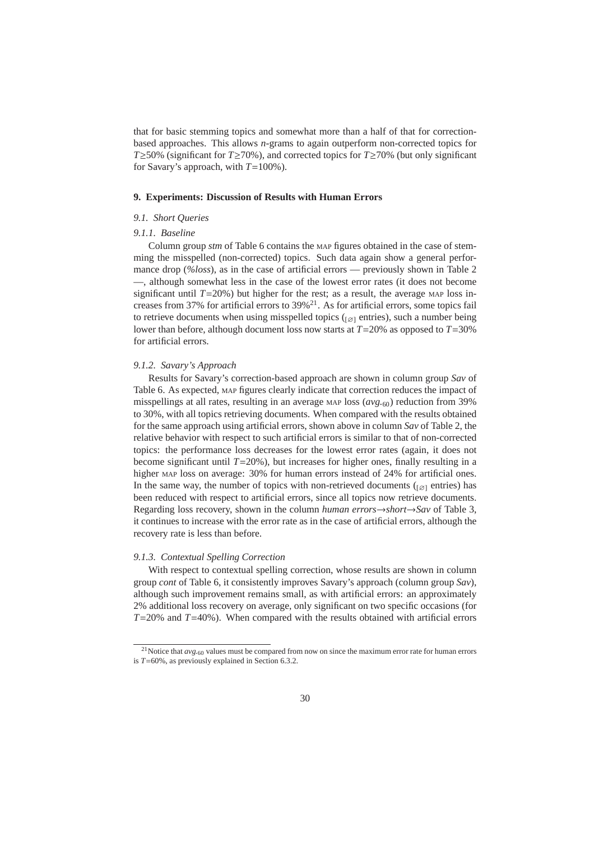that for basic stemming topics and somewhat more than a half of that for correctionbased approaches. This allows *n*-grams to again outperform non-corrected topics for *T*≥50% (significant for *T*≥70%), and corrected topics for *T*≥70% (but only significant for Savary's approach, with *T*=100%).

### **9. Experiments: Discussion of Results with Human Errors**

### *9.1. Short Queries*

### *9.1.1. Baseline*

Column group *stm* of Table 6 contains the MAP figures obtained in the case of stemming the misspelled (non-corrected) topics. Such data again show a general performance drop (*%loss*), as in the case of artificial errors — previously shown in Table 2 —, although somewhat less in the case of the lowest error rates (it does not become significant until  $T=20\%$ ) but higher for the rest; as a result, the average MAP loss increases from 37% for artificial errors to  $39\%$ <sup>21</sup>. As for artificial errors, some topics fail to retrieve documents when using misspelled topics ( $\lceil \varnothing \rceil$  entries), such a number being lower than before, although document loss now starts at *T*=20% as opposed to *T*=30% for artificial errors.

# *9.1.2. Savary's Approach*

Results for Savary's correction-based approach are shown in column group *Sav* of Table 6. As expected, MAP figures clearly indicate that correction reduces the impact of misspellings at all rates, resulting in an average MAP loss (*avg.*60) reduction from 39% to 30%, with all topics retrieving documents. When compared with the results obtained for the same approach using artificial errors, shown above in column *Sav* of Table 2, the relative behavior with respect to such artificial errors is similar to that of non-corrected topics: the performance loss decreases for the lowest error rates (again, it does not become significant until  $T=20\%$ ), but increases for higher ones, finally resulting in a higher MAP loss on average: 30% for human errors instead of 24% for artificial ones. In the same way, the number of topics with non-retrieved documents ( $\varphi$ ) entries) has been reduced with respect to artificial errors, since all topics now retrieve documents. Regarding loss recovery, shown in the column *human errors*→*short*→*Sav* of Table 3, it continues to increase with the error rate as in the case of artificial errors, although the recovery rate is less than before.

### *9.1.3. Contextual Spelling Correction*

With respect to contextual spelling correction, whose results are shown in column group *cont* of Table 6, it consistently improves Savary's approach (column group *Sav*), although such improvement remains small, as with artificial errors: an approximately 2% additional loss recovery on average, only significant on two specific occasions (for *T*=20% and *T*=40%). When compared with the results obtained with artificial errors

<sup>&</sup>lt;sup>21</sup>Notice that  $avg.60$  values must be compared from now on since the maximum error rate for human errors is *T*=60%, as previously explained in Section 6.3.2.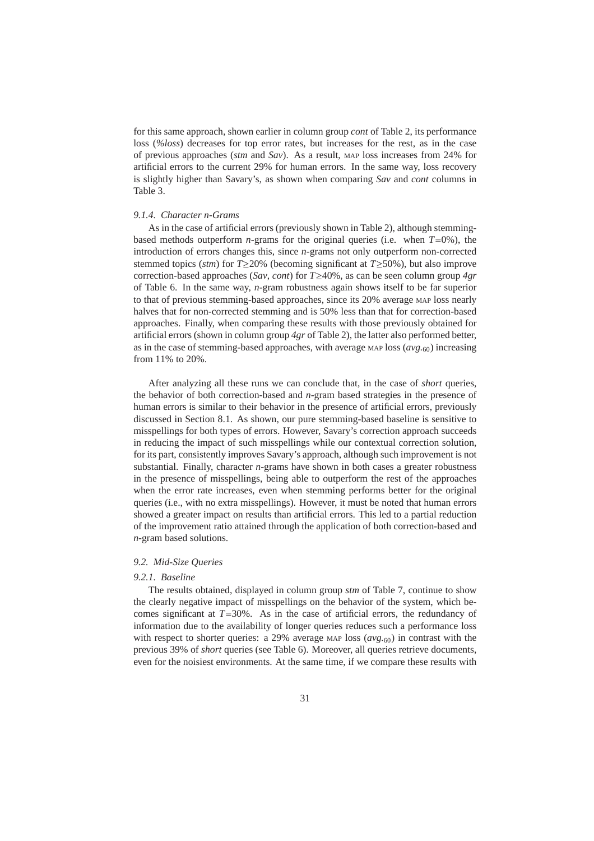for this same approach, shown earlier in column group *cont* of Table 2, its performance loss (*%loss*) decreases for top error rates, but increases for the rest, as in the case of previous approaches (*stm* and *Sav*). As a result, MAP loss increases from 24% for artificial errors to the current 29% for human errors. In the same way, loss recovery is slightly higher than Savary's, as shown when comparing *Sav* and *cont* columns in Table 3.

### *9.1.4. Character n-Grams*

As in the case of artificial errors (previously shown in Table 2), although stemmingbased methods outperform *n*-grams for the original queries (i.e. when *T*=0%), the introduction of errors changes this, since *n*-grams not only outperform non-corrected stemmed topics (*stm*) for *T*≥20% (becoming significant at *T*≥50%), but also improve correction-based approaches (*Sav*, *cont*) for *T*≥40%, as can be seen column group *4gr* of Table 6. In the same way, *n*-gram robustness again shows itself to be far superior to that of previous stemming-based approaches, since its 20% average MAP loss nearly halves that for non-corrected stemming and is 50% less than that for correction-based approaches. Finally, when comparing these results with those previously obtained for artificial errors (shown in column group *4gr* of Table 2), the latter also performed better, as in the case of stemming-based approaches, with average MAP loss (*avg.*60) increasing from 11% to 20%.

After analyzing all these runs we can conclude that, in the case of *short* queries, the behavior of both correction-based and *n*-gram based strategies in the presence of human errors is similar to their behavior in the presence of artificial errors, previously discussed in Section 8.1. As shown, our pure stemming-based baseline is sensitive to misspellings for both types of errors. However, Savary's correction approach succeeds in reducing the impact of such misspellings while our contextual correction solution, for its part, consistently improves Savary's approach, although such improvement is not substantial. Finally, character *n*-grams have shown in both cases a greater robustness in the presence of misspellings, being able to outperform the rest of the approaches when the error rate increases, even when stemming performs better for the original queries (i.e., with no extra misspellings). However, it must be noted that human errors showed a greater impact on results than artificial errors. This led to a partial reduction of the improvement ratio attained through the application of both correction-based and *n*-gram based solutions.

### *9.2. Mid-Size Queries*

### *9.2.1. Baseline*

The results obtained, displayed in column group *stm* of Table 7, continue to show the clearly negative impact of misspellings on the behavior of the system, which becomes significant at  $T=30\%$ . As in the case of artificial errors, the redundancy of information due to the availability of longer queries reduces such a performance loss with respect to shorter queries: a 29% average MAP loss ( $avg_{.60}$ ) in contrast with the previous 39% of *short* queries (see Table 6). Moreover, all queries retrieve documents, even for the noisiest environments. At the same time, if we compare these results with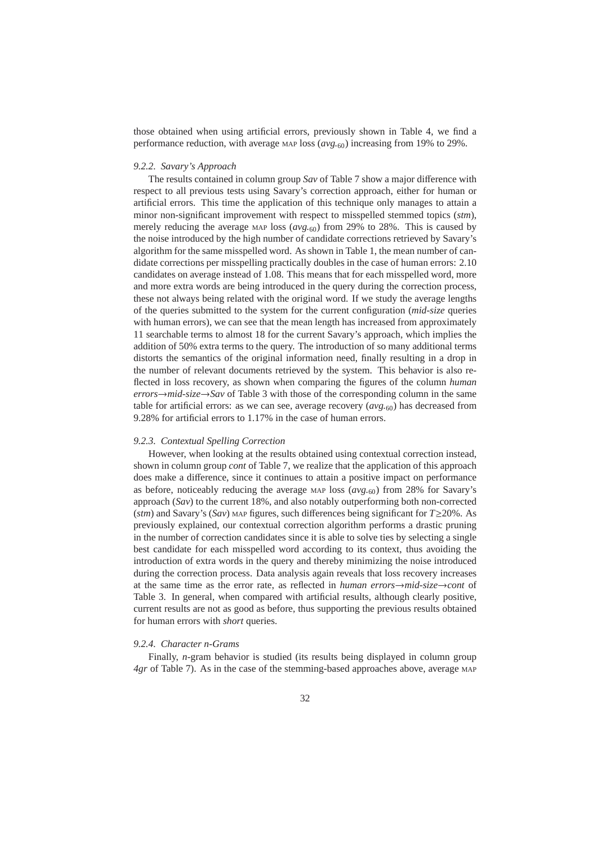those obtained when using artificial errors, previously shown in Table 4, we find a performance reduction, with average MAP loss (*avg.*60) increasing from 19% to 29%.

# *9.2.2. Savary's Approach*

The results contained in column group *Sav* of Table 7 show a major difference with respect to all previous tests using Savary's correction approach, either for human or artificial errors. This time the application of this technique only manages to attain a minor non-significant improvement with respect to misspelled stemmed topics (*stm*), merely reducing the average MAP loss (*avg.*60) from 29% to 28%. This is caused by the noise introduced by the high number of candidate corrections retrieved by Savary's algorithm for the same misspelled word. As shown in Table 1, the mean number of candidate corrections per misspelling practically doubles in the case of human errors: 2.10 candidates on average instead of 1.08. This means that for each misspelled word, more and more extra words are being introduced in the query during the correction process, these not always being related with the original word. If we study the average lengths of the queries submitted to the system for the current configuration (*mid-size* queries with human errors), we can see that the mean length has increased from approximately 11 searchable terms to almost 18 for the current Savary's approach, which implies the addition of 50% extra terms to the query. The introduction of so many additional terms distorts the semantics of the original information need, finally resulting in a drop in the number of relevant documents retrieved by the system. This behavior is also reflected in loss recovery, as shown when comparing the figures of the column *human*  $\textit{errors}\rightarrow\textit{mid-size}\rightarrow\textit{Sav}$  of Table 3 with those of the corresponding column in the same table for artificial errors: as we can see, average recovery (*avg.*60) has decreased from 9.28% for artificial errors to 1.17% in the case of human errors.

### *9.2.3. Contextual Spelling Correction*

However, when looking at the results obtained using contextual correction instead, shown in column group *cont* of Table 7, we realize that the application of this approach does make a difference, since it continues to attain a positive impact on performance as before, noticeably reducing the average MAP loss (*avg.*60) from 28% for Savary's approach (*Sav*) to the current 18%, and also notably outperforming both non-corrected (*stm*) and Savary's (*Sav*) MAP figures, such differences being significant for *T*≥20%. As previously explained, our contextual correction algorithm performs a drastic pruning in the number of correction candidates since it is able to solve ties by selecting a single best candidate for each misspelled word according to its context, thus avoiding the introduction of extra words in the query and thereby minimizing the noise introduced during the correction process. Data analysis again reveals that loss recovery increases at the same time as the error rate, as reflected in *human errors*→*mid-size*→*cont* of Table 3. In general, when compared with artificial results, although clearly positive, current results are not as good as before, thus supporting the previous results obtained for human errors with *short* queries.

### *9.2.4. Character n-Grams*

Finally, *n*-gram behavior is studied (its results being displayed in column group *4gr* of Table 7). As in the case of the stemming-based approaches above, average MAP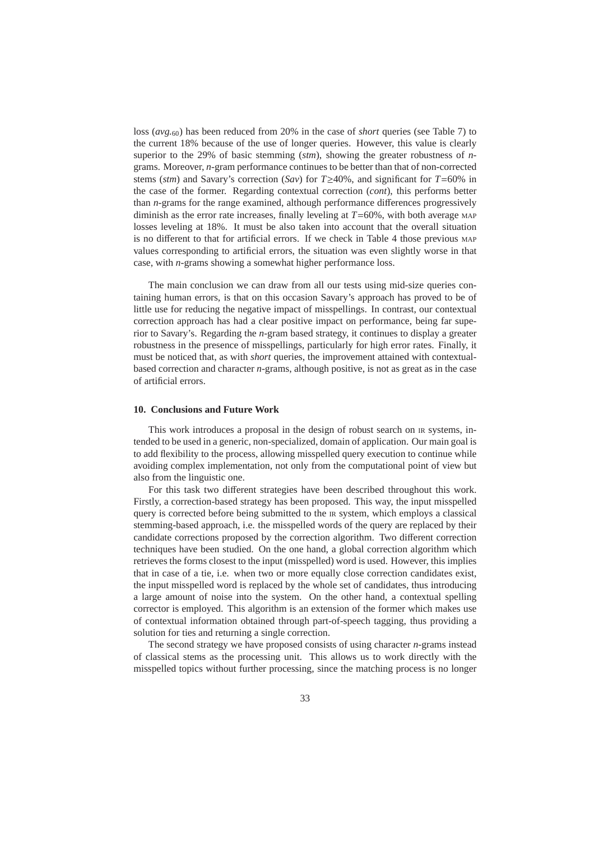loss (*avg.*60) has been reduced from 20% in the case of *short* queries (see Table 7) to the current 18% because of the use of longer queries. However, this value is clearly superior to the 29% of basic stemming (*stm*), showing the greater robustness of *n*grams. Moreover, *n*-gram performance continues to be better than that of non-corrected stems (*stm*) and Savary's correction (*Sav*) for *T*≥40%, and significant for *T*=60% in the case of the former. Regarding contextual correction (*cont*), this performs better than *n*-grams for the range examined, although performance differences progressively diminish as the error rate increases, finally leveling at *T*=60%, with both average MAP losses leveling at 18%. It must be also taken into account that the overall situation is no different to that for artificial errors. If we check in Table 4 those previous MAP values corresponding to artificial errors, the situation was even slightly worse in that case, with *n*-grams showing a somewhat higher performance loss.

The main conclusion we can draw from all our tests using mid-size queries containing human errors, is that on this occasion Savary's approach has proved to be of little use for reducing the negative impact of misspellings. In contrast, our contextual correction approach has had a clear positive impact on performance, being far superior to Savary's. Regarding the *n*-gram based strategy, it continues to display a greater robustness in the presence of misspellings, particularly for high error rates. Finally, it must be noticed that, as with *short* queries, the improvement attained with contextualbased correction and character *n*-grams, although positive, is not as great as in the case of artificial errors.

# **10. Conclusions and Future Work**

This work introduces a proposal in the design of robust search on IR systems, intended to be used in a generic, non-specialized, domain of application. Our main goal is to add flexibility to the process, allowing misspelled query execution to continue while avoiding complex implementation, not only from the computational point of view but also from the linguistic one.

For this task two different strategies have been described throughout this work. Firstly, a correction-based strategy has been proposed. This way, the input misspelled query is corrected before being submitted to the IR system, which employs a classical stemming-based approach, i.e. the misspelled words of the query are replaced by their candidate corrections proposed by the correction algorithm. Two different correction techniques have been studied. On the one hand, a global correction algorithm which retrieves the forms closest to the input (misspelled) word is used. However, this implies that in case of a tie, i.e. when two or more equally close correction candidates exist, the input misspelled word is replaced by the whole set of candidates, thus introducing a large amount of noise into the system. On the other hand, a contextual spelling corrector is employed. This algorithm is an extension of the former which makes use of contextual information obtained through part-of-speech tagging, thus providing a solution for ties and returning a single correction.

The second strategy we have proposed consists of using character *n*-grams instead of classical stems as the processing unit. This allows us to work directly with the misspelled topics without further processing, since the matching process is no longer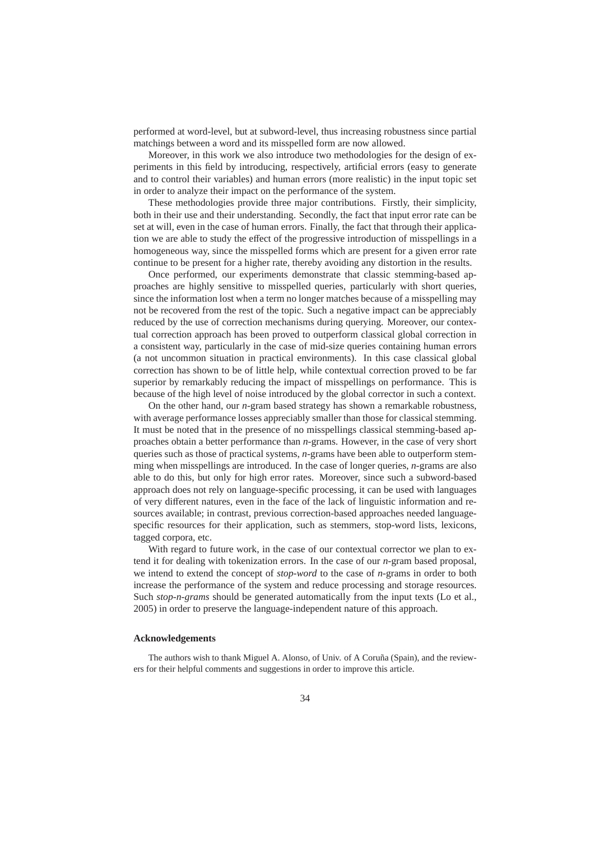performed at word-level, but at subword-level, thus increasing robustness since partial matchings between a word and its misspelled form are now allowed.

Moreover, in this work we also introduce two methodologies for the design of experiments in this field by introducing, respectively, artificial errors (easy to generate and to control their variables) and human errors (more realistic) in the input topic set in order to analyze their impact on the performance of the system.

These methodologies provide three major contributions. Firstly, their simplicity, both in their use and their understanding. Secondly, the fact that input error rate can be set at will, even in the case of human errors. Finally, the fact that through their application we are able to study the effect of the progressive introduction of misspellings in a homogeneous way, since the misspelled forms which are present for a given error rate continue to be present for a higher rate, thereby avoiding any distortion in the results.

Once performed, our experiments demonstrate that classic stemming-based approaches are highly sensitive to misspelled queries, particularly with short queries, since the information lost when a term no longer matches because of a misspelling may not be recovered from the rest of the topic. Such a negative impact can be appreciably reduced by the use of correction mechanisms during querying. Moreover, our contextual correction approach has been proved to outperform classical global correction in a consistent way, particularly in the case of mid-size queries containing human errors (a not uncommon situation in practical environments). In this case classical global correction has shown to be of little help, while contextual correction proved to be far superior by remarkably reducing the impact of misspellings on performance. This is because of the high level of noise introduced by the global corrector in such a context.

On the other hand, our *n*-gram based strategy has shown a remarkable robustness, with average performance losses appreciably smaller than those for classical stemming. It must be noted that in the presence of no misspellings classical stemming-based approaches obtain a better performance than *n*-grams. However, in the case of very short queries such as those of practical systems, *n*-grams have been able to outperform stemming when misspellings are introduced. In the case of longer queries, *n*-grams are also able to do this, but only for high error rates. Moreover, since such a subword-based approach does not rely on language-specific processing, it can be used with languages of very different natures, even in the face of the lack of linguistic information and resources available; in contrast, previous correction-based approaches needed languagespecific resources for their application, such as stemmers, stop-word lists, lexicons, tagged corpora, etc.

With regard to future work, in the case of our contextual corrector we plan to extend it for dealing with tokenization errors. In the case of our *n*-gram based proposal, we intend to extend the concept of *stop-word* to the case of *n*-grams in order to both increase the performance of the system and reduce processing and storage resources. Such *stop-n-grams* should be generated automatically from the input texts (Lo et al., 2005) in order to preserve the language-independent nature of this approach.

### **Acknowledgements**

The authors wish to thank Miguel A. Alonso, of Univ. of A Coruña (Spain), and the reviewers for their helpful comments and suggestions in order to improve this article.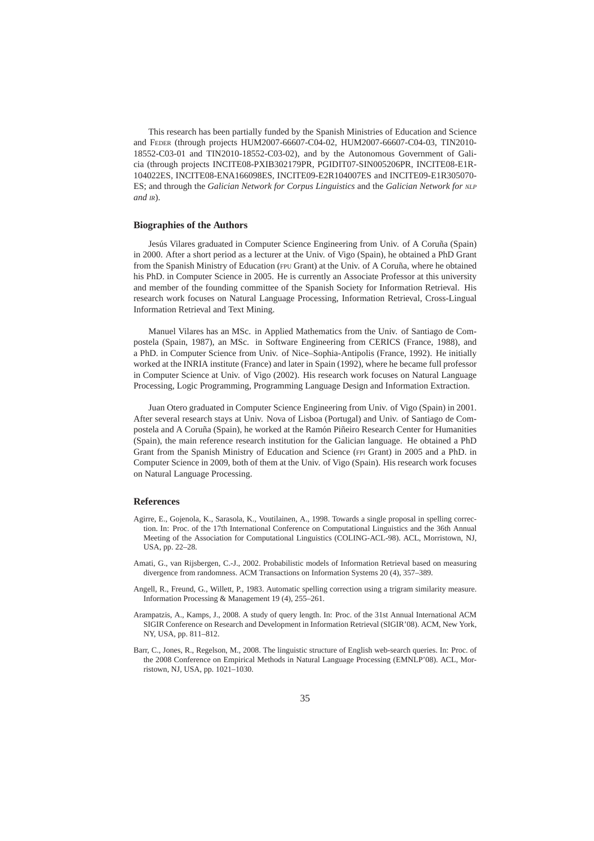This research has been partially funded by the Spanish Ministries of Education and Science and FEDER (through projects HUM2007-66607-C04-02, HUM2007-66607-C04-03, TIN2010- 18552-C03-01 and TIN2010-18552-C03-02), and by the Autonomous Government of Galicia (through projects INCITE08-PXIB302179PR, PGIDIT07-SIN005206PR, INCITE08-E1R-104022ES, INCITE08-ENA166098ES, INCITE09-E2R104007ES and INCITE09-E1R305070- ES; and through the *Galician Network for Corpus Linguistics* and the *Galician Network for NLP and IR*).

### **Biographies of the Authors**

Jesús Vilares graduated in Computer Science Engineering from Univ. of A Coruña (Spain) in 2000. After a short period as a lecturer at the Univ. of Vigo (Spain), he obtained a PhD Grant from the Spanish Ministry of Education (FPU Grant) at the Univ. of A Coruña, where he obtained his PhD. in Computer Science in 2005. He is currently an Associate Professor at this university and member of the founding committee of the Spanish Society for Information Retrieval. His research work focuses on Natural Language Processing, Information Retrieval, Cross-Lingual Information Retrieval and Text Mining.

Manuel Vilares has an MSc. in Applied Mathematics from the Univ. of Santiago de Compostela (Spain, 1987), an MSc. in Software Engineering from CERICS (France, 1988), and a PhD. in Computer Science from Univ. of Nice–Sophia-Antipolis (France, 1992). He initially worked at the INRIA institute (France) and later in Spain (1992), where he became full professor in Computer Science at Univ. of Vigo (2002). His research work focuses on Natural Language Processing, Logic Programming, Programming Language Design and Information Extraction.

Juan Otero graduated in Computer Science Engineering from Univ. of Vigo (Spain) in 2001. After several research stays at Univ. Nova of Lisboa (Portugal) and Univ. of Santiago de Compostela and A Coruña (Spain), he worked at the Ramón Piñeiro Research Center for Humanities (Spain), the main reference research institution for the Galician language. He obtained a PhD Grant from the Spanish Ministry of Education and Science (FPI Grant) in 2005 and a PhD. in Computer Science in 2009, both of them at the Univ. of Vigo (Spain). His research work focuses on Natural Language Processing.

### **References**

- Agirre, E., Gojenola, K., Sarasola, K., Voutilainen, A., 1998. Towards a single proposal in spelling correction. In: Proc. of the 17th International Conference on Computational Linguistics and the 36th Annual Meeting of the Association for Computational Linguistics (COLING-ACL-98). ACL, Morristown, NJ, USA, pp. 22–28.
- Amati, G., van Rijsbergen, C.-J., 2002. Probabilistic models of Information Retrieval based on measuring divergence from randomness. ACM Transactions on Information Systems 20 (4), 357–389.
- Angell, R., Freund, G., Willett, P., 1983. Automatic spelling correction using a trigram similarity measure. Information Processing & Management 19 (4), 255–261.
- Arampatzis, A., Kamps, J., 2008. A study of query length. In: Proc. of the 31st Annual International ACM SIGIR Conference on Research and Development in Information Retrieval (SIGIR'08). ACM, New York, NY, USA, pp. 811–812.
- Barr, C., Jones, R., Regelson, M., 2008. The linguistic structure of English web-search queries. In: Proc. of the 2008 Conference on Empirical Methods in Natural Language Processing (EMNLP'08). ACL, Morristown, NJ, USA, pp. 1021–1030.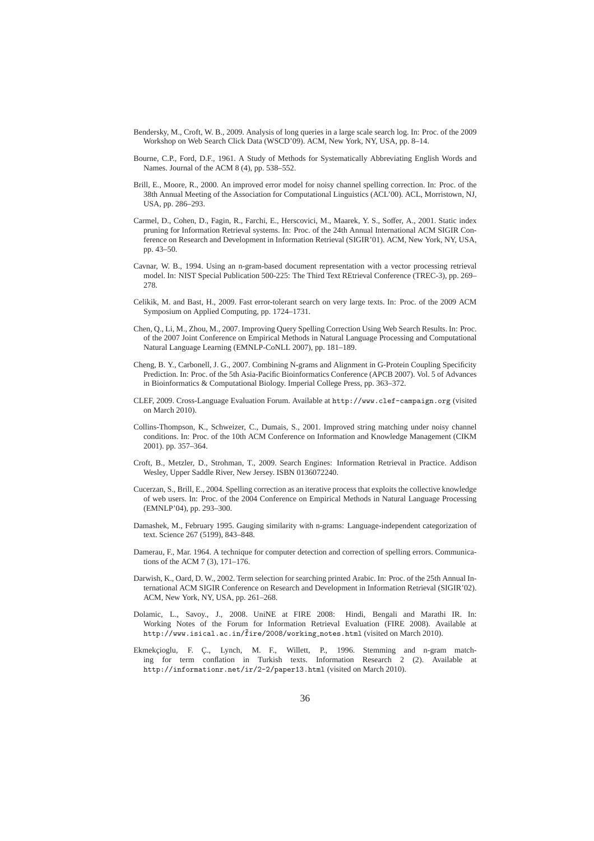- Bendersky, M., Croft, W. B., 2009. Analysis of long queries in a large scale search log. In: Proc. of the 2009 Workshop on Web Search Click Data (WSCD'09). ACM, New York, NY, USA, pp. 8–14.
- Bourne, C.P., Ford, D.F., 1961. A Study of Methods for Systematically Abbreviating English Words and Names. Journal of the ACM 8 (4), pp. 538–552.
- Brill, E., Moore, R., 2000. An improved error model for noisy channel spelling correction. In: Proc. of the 38th Annual Meeting of the Association for Computational Linguistics (ACL'00). ACL, Morristown, NJ, USA, pp. 286–293.
- Carmel, D., Cohen, D., Fagin, R., Farchi, E., Herscovici, M., Maarek, Y. S., Soffer, A., 2001. Static index pruning for Information Retrieval systems. In: Proc. of the 24th Annual International ACM SIGIR Conference on Research and Development in Information Retrieval (SIGIR'01). ACM, New York, NY, USA, pp. 43–50.
- Cavnar, W. B., 1994. Using an n-gram-based document representation with a vector processing retrieval model. In: NIST Special Publication 500-225: The Third Text REtrieval Conference (TREC-3), pp. 269– 278.
- Celikik, M. and Bast, H., 2009. Fast error-tolerant search on very large texts. In: Proc. of the 2009 ACM Symposium on Applied Computing, pp. 1724–1731.
- Chen, Q., Li, M., Zhou, M., 2007. Improving Query Spelling Correction Using Web Search Results. In: Proc. of the 2007 Joint Conference on Empirical Methods in Natural Language Processing and Computational Natural Language Learning (EMNLP-CoNLL 2007), pp. 181–189.
- Cheng, B. Y., Carbonell, J. G., 2007. Combining N-grams and Alignment in G-Protein Coupling Specificity Prediction. In: Proc. of the 5th Asia-Pacific Bioinformatics Conference (APCB 2007). Vol. 5 of Advances in Bioinformatics & Computational Biology. Imperial College Press, pp. 363–372.
- CLEF, 2009. Cross-Language Evaluation Forum. Available at http://www.clef-campaign.org (visited on March 2010).
- Collins-Thompson, K., Schweizer, C., Dumais, S., 2001. Improved string matching under noisy channel conditions. In: Proc. of the 10th ACM Conference on Information and Knowledge Management (CIKM 2001). pp. 357–364.
- Croft, B., Metzler, D., Strohman, T., 2009. Search Engines: Information Retrieval in Practice. Addison Wesley, Upper Saddle River, New Jersey. ISBN 0136072240.
- Cucerzan, S., Brill, E., 2004. Spelling correction as an iterative process that exploits the collective knowledge of web users. In: Proc. of the 2004 Conference on Empirical Methods in Natural Language Processing (EMNLP'04), pp. 293–300.
- Damashek, M., February 1995. Gauging similarity with n-grams: Language-independent categorization of text. Science 267 (5199), 843–848.
- Damerau, F., Mar. 1964. A technique for computer detection and correction of spelling errors. Communications of the ACM 7 (3), 171–176.
- Darwish, K., Oard, D. W., 2002. Term selection for searching printed Arabic. In: Proc. of the 25th Annual International ACM SIGIR Conference on Research and Development in Information Retrieval (SIGIR'02). ACM, New York, NY, USA, pp. 261–268.
- Dolamic, L., Savoy., J., 2008. UniNE at FIRE 2008: Hindi, Bengali and Marathi IR. In: Working Notes of the Forum for Information Retrieval Evaluation (FIRE 2008). Available at http://www.isical.ac.in/fire/2008/working\_notes.html (visited on March 2010).
- Ekmekçioglu, F. Ç., Lynch, M. F., Willett, P., 1996. Stemming and n-gram matching for term conflation in Turkish texts. Information Research 2 (2). Available at http://informationr.net/ir/2-2/paper13.html (visited on March 2010).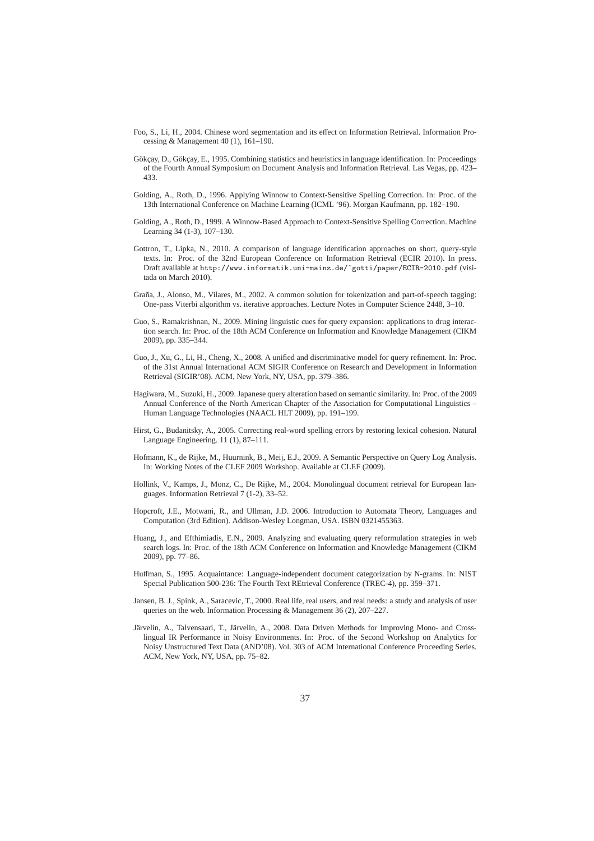- Foo, S., Li, H., 2004. Chinese word segmentation and its effect on Information Retrieval. Information Processing & Management 40 (1), 161–190.
- Gökçay, D., Gökçay, E., 1995. Combining statistics and heuristics in language identification. In: Proceedings of the Fourth Annual Symposium on Document Analysis and Information Retrieval. Las Vegas, pp. 423– 433.
- Golding, A., Roth, D., 1996. Applying Winnow to Context-Sensitive Spelling Correction. In: Proc. of the 13th International Conference on Machine Learning (ICML '96). Morgan Kaufmann, pp. 182–190.
- Golding, A., Roth, D., 1999. A Winnow-Based Approach to Context-Sensitive Spelling Correction. Machine Learning 34 (1-3), 107–130.
- Gottron, T., Lipka, N., 2010. A comparison of language identification approaches on short, query-style texts. In: Proc. of the 32nd European Conference on Information Retrieval (ECIR 2010). In press. Draft available at http://www.informatik.uni-mainz.de/~gotti/paper/ECIR-2010.pdf (visitada on March 2010).
- Graña, J., Alonso, M., Vilares, M., 2002. A common solution for tokenization and part-of-speech tagging: One-pass Viterbi algorithm vs. iterative approaches. Lecture Notes in Computer Science 2448, 3–10.
- Guo, S., Ramakrishnan, N., 2009. Mining linguistic cues for query expansion: applications to drug interaction search. In: Proc. of the 18th ACM Conference on Information and Knowledge Management (CIKM 2009), pp. 335–344.
- Guo, J., Xu, G., Li, H., Cheng, X., 2008. A unified and discriminative model for query refinement. In: Proc. of the 31st Annual International ACM SIGIR Conference on Research and Development in Information Retrieval (SIGIR'08). ACM, New York, NY, USA, pp. 379–386.
- Hagiwara, M., Suzuki, H., 2009. Japanese query alteration based on semantic similarity. In: Proc. of the 2009 Annual Conference of the North American Chapter of the Association for Computational Linguistics – Human Language Technologies (NAACL HLT 2009), pp. 191–199.
- Hirst, G., Budanitsky, A., 2005. Correcting real-word spelling errors by restoring lexical cohesion. Natural Language Engineering. 11 (1), 87–111.
- Hofmann, K., de Rijke, M., Huurnink, B., Meij, E.J., 2009. A Semantic Perspective on Query Log Analysis. In: Working Notes of the CLEF 2009 Workshop. Available at CLEF (2009).
- Hollink, V., Kamps, J., Monz, C., De Rijke, M., 2004. Monolingual document retrieval for European languages. Information Retrieval 7 (1-2), 33–52.
- Hopcroft, J.E., Motwani, R., and Ullman, J.D. 2006. Introduction to Automata Theory, Languages and Computation (3rd Edition). Addison-Wesley Longman, USA. ISBN 0321455363.
- Huang, J., and Efthimiadis, E.N., 2009. Analyzing and evaluating query reformulation strategies in web search logs. In: Proc. of the 18th ACM Conference on Information and Knowledge Management (CIKM 2009), pp. 77–86.
- Huffman, S., 1995. Acquaintance: Language-independent document categorization by N-grams. In: NIST Special Publication 500-236: The Fourth Text REtrieval Conference (TREC-4), pp. 359–371.
- Jansen, B. J., Spink, A., Saracevic, T., 2000. Real life, real users, and real needs: a study and analysis of user queries on the web. Information Processing & Management 36 (2), 207–227.
- Järvelin, A., Talvensaari, T., Järvelin, A., 2008. Data Driven Methods for Improving Mono- and Crosslingual IR Performance in Noisy Environments. In: Proc. of the Second Workshop on Analytics for Noisy Unstructured Text Data (AND'08). Vol. 303 of ACM International Conference Proceeding Series. ACM, New York, NY, USA, pp. 75–82.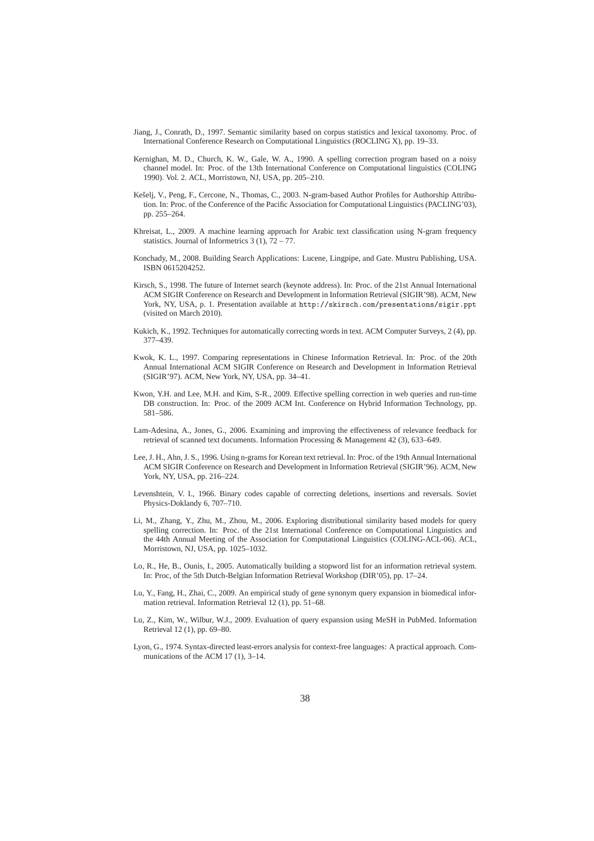- Jiang, J., Conrath, D., 1997. Semantic similarity based on corpus statistics and lexical taxonomy. Proc. of International Conference Research on Computational Linguistics (ROCLING X), pp. 19–33.
- Kernighan, M. D., Church, K. W., Gale, W. A., 1990. A spelling correction program based on a noisy channel model. In: Proc. of the 13th International Conference on Computational linguistics (COLING 1990). Vol. 2. ACL, Morristown, NJ, USA, pp. 205–210.
- Kešelj, V., Peng, F., Cercone, N., Thomas, C., 2003. N-gram-based Author Profiles for Authorship Attribution. In: Proc. of the Conference of the Pacific Association for Computational Linguistics (PACLING'03), pp. 255–264.
- Khreisat, L., 2009. A machine learning approach for Arabic text classification using N-gram frequency statistics. Journal of Informetrics  $3(1)$ ,  $72-77$ .
- Konchady, M., 2008. Building Search Applications: Lucene, Lingpipe, and Gate. Mustru Publishing, USA. ISBN 0615204252.
- Kirsch, S., 1998. The future of Internet search (keynote address). In: Proc. of the 21st Annual International ACM SIGIR Conference on Research and Development in Information Retrieval (SIGIR'98). ACM, New York, NY, USA, p. 1. Presentation available at http://skirsch.com/presentations/sigir.ppt (visited on March 2010).
- Kukich, K., 1992. Techniques for automatically correcting words in text. ACM Computer Surveys, 2 (4), pp. 377–439.
- Kwok, K. L., 1997. Comparing representations in Chinese Information Retrieval. In: Proc. of the 20th Annual International ACM SIGIR Conference on Research and Development in Information Retrieval (SIGIR'97). ACM, New York, NY, USA, pp. 34–41.
- Kwon, Y.H. and Lee, M.H. and Kim, S-R., 2009. Effective spelling correction in web queries and run-time DB construction. In: Proc. of the 2009 ACM Int. Conference on Hybrid Information Technology, pp. 581–586.
- Lam-Adesina, A., Jones, G., 2006. Examining and improving the effectiveness of relevance feedback for retrieval of scanned text documents. Information Processing & Management 42 (3), 633–649.
- Lee, J. H., Ahn, J. S., 1996. Using n-grams for Korean text retrieval. In: Proc. of the 19th Annual International ACM SIGIR Conference on Research and Development in Information Retrieval (SIGIR'96). ACM, New York, NY, USA, pp. 216–224.
- Levenshtein, V. I., 1966. Binary codes capable of correcting deletions, insertions and reversals. Soviet Physics-Doklandy 6, 707–710.
- Li, M., Zhang, Y., Zhu, M., Zhou, M., 2006. Exploring distributional similarity based models for query spelling correction. In: Proc. of the 21st International Conference on Computational Linguistics and the 44th Annual Meeting of the Association for Computational Linguistics (COLING-ACL-06). ACL, Morristown, NJ, USA, pp. 1025–1032.
- Lo, R., He, B., Ounis, I., 2005. Automatically building a stopword list for an information retrieval system. In: Proc, of the 5th Dutch-Belgian Information Retrieval Workshop (DIR'05), pp. 17–24.
- Lu, Y., Fang, H., Zhai, C., 2009. An empirical study of gene synonym query expansion in biomedical information retrieval. Information Retrieval 12 (1), pp. 51–68.
- Lu, Z., Kim, W., Wilbur, W.J., 2009. Evaluation of query expansion using MeSH in PubMed. Information Retrieval 12 (1), pp. 69–80.
- Lyon, G., 1974. Syntax-directed least-errors analysis for context-free languages: A practical approach. Communications of the ACM 17 (1), 3–14.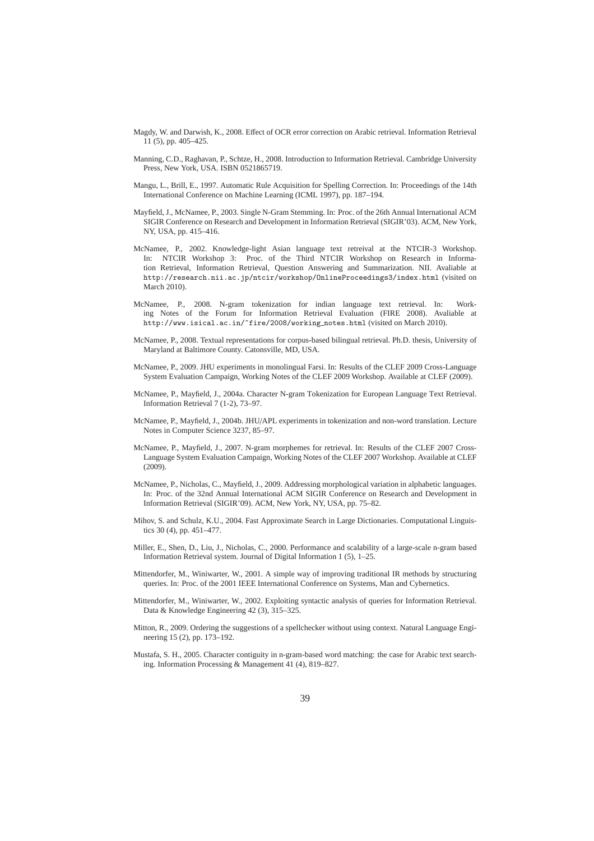- Magdy, W. and Darwish, K., 2008. Effect of OCR error correction on Arabic retrieval. Information Retrieval 11 (5), pp. 405–425.
- Manning, C.D., Raghavan, P., Schtze, H., 2008. Introduction to Information Retrieval. Cambridge University Press, New York, USA. ISBN 0521865719.
- Mangu, L., Brill, E., 1997. Automatic Rule Acquisition for Spelling Correction. In: Proceedings of the 14th International Conference on Machine Learning (ICML 1997), pp. 187–194.
- Mayfield, J., McNamee, P., 2003. Single N-Gram Stemming. In: Proc. of the 26th Annual International ACM SIGIR Conference on Research and Development in Information Retrieval (SIGIR'03). ACM, New York, NY, USA, pp. 415–416.
- McNamee, P., 2002. Knowledge-light Asian language text retreival at the NTCIR-3 Workshop. In: NTCIR Workshop 3: Proc. of the Third NTCIR Workshop on Research in Information Retrieval, Information Retrieval, Question Answering and Summarization. NII. Avaliable at http://research.nii.ac.jp/ntcir/workshop/OnlineProceedings3/index.html (visited on March 2010).
- McNamee, P., 2008. N-gram tokenization for indian language text retrieval. In: Working Notes of the Forum for Information Retrieval Evaluation (FIRE 2008). Avaliable at http://www.isical.ac.in/~fire/2008/working notes.html (visited on March 2010).
- McNamee, P., 2008. Textual representations for corpus-based bilingual retrieval. Ph.D. thesis, University of Maryland at Baltimore County. Catonsville, MD, USA.
- McNamee, P., 2009. JHU experiments in monolingual Farsi. In: Results of the CLEF 2009 Cross-Language System Evaluation Campaign, Working Notes of the CLEF 2009 Workshop. Available at CLEF (2009).
- McNamee, P., Mayfield, J., 2004a. Character N-gram Tokenization for European Language Text Retrieval. Information Retrieval 7 (1-2), 73–97.
- McNamee, P., Mayfield, J., 2004b. JHU/APL experiments in tokenization and non-word translation. Lecture Notes in Computer Science 3237, 85–97.
- McNamee, P., Mayfield, J., 2007. N-gram morphemes for retrieval. In: Results of the CLEF 2007 Cross-Language System Evaluation Campaign, Working Notes of the CLEF 2007 Workshop. Available at CLEF (2009).
- McNamee, P., Nicholas, C., Mayfield, J., 2009. Addressing morphological variation in alphabetic languages. In: Proc. of the 32nd Annual International ACM SIGIR Conference on Research and Development in Information Retrieval (SIGIR'09). ACM, New York, NY, USA, pp. 75–82.
- Mihov, S. and Schulz, K.U., 2004. Fast Approximate Search in Large Dictionaries. Computational Linguistics 30 (4), pp. 451–477.
- Miller, E., Shen, D., Liu, J., Nicholas, C., 2000. Performance and scalability of a large-scale n-gram based Information Retrieval system. Journal of Digital Information 1 (5), 1–25.
- Mittendorfer, M., Winiwarter, W., 2001. A simple way of improving traditional IR methods by structuring queries. In: Proc. of the 2001 IEEE International Conference on Systems, Man and Cybernetics.
- Mittendorfer, M., Winiwarter, W., 2002. Exploiting syntactic analysis of queries for Information Retrieval. Data & Knowledge Engineering 42 (3), 315–325.
- Mitton, R., 2009. Ordering the suggestions of a spellchecker without using context. Natural Language Engineering 15 (2), pp. 173–192.
- Mustafa, S. H., 2005. Character contiguity in n-gram-based word matching: the case for Arabic text searching. Information Processing & Management 41 (4), 819–827.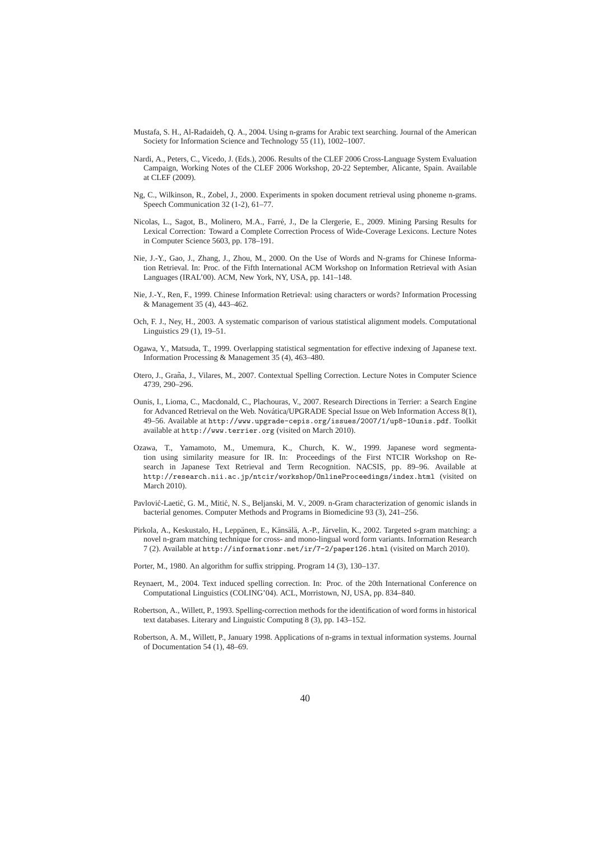- Mustafa, S. H., Al-Radaideh, Q. A., 2004. Using n-grams for Arabic text searching. Journal of the American Society for Information Science and Technology 55 (11), 1002–1007.
- Nardi, A., Peters, C., Vicedo, J. (Eds.), 2006. Results of the CLEF 2006 Cross-Language System Evaluation Campaign, Working Notes of the CLEF 2006 Workshop, 20-22 September, Alicante, Spain. Available at CLEF (2009).
- Ng, C., Wilkinson, R., Zobel, J., 2000. Experiments in spoken document retrieval using phoneme n-grams. Speech Communication 32 (1-2), 61-77.
- Nicolas, L., Sagot, B., Molinero, M.A., Farre, J., De la Clergerie, E., 2009. Mining Parsing Results for ´ Lexical Correction: Toward a Complete Correction Process of Wide-Coverage Lexicons. Lecture Notes in Computer Science 5603, pp. 178–191.
- Nie, J.-Y., Gao, J., Zhang, J., Zhou, M., 2000. On the Use of Words and N-grams for Chinese Information Retrieval. In: Proc. of the Fifth International ACM Workshop on Information Retrieval with Asian Languages (IRAL'00). ACM, New York, NY, USA, pp. 141–148.
- Nie, J.-Y., Ren, F., 1999. Chinese Information Retrieval: using characters or words? Information Processing & Management 35 (4), 443–462.
- Och, F. J., Ney, H., 2003. A systematic comparison of various statistical alignment models. Computational Linguistics 29 (1), 19–51.
- Ogawa, Y., Matsuda, T., 1999. Overlapping statistical segmentation for effective indexing of Japanese text. Information Processing & Management 35 (4), 463–480.
- Otero, J., Graña, J., Vilares, M., 2007. Contextual Spelling Correction. Lecture Notes in Computer Science 4739, 290–296.
- Ounis, I., Lioma, C., Macdonald, C., Plachouras, V., 2007. Research Directions in Terrier: a Search Engine for Advanced Retrieval on the Web. Novática/UPGRADE Special Issue on Web Information Access 8(1), 49–56. Available at http://www.upgrade-cepis.org/issues/2007/1/up8-1Ounis.pdf. Toolkit available at http://www.terrier.org (visited on March 2010).
- Ozawa, T., Yamamoto, M., Umemura, K., Church, K. W., 1999. Japanese word segmentation using similarity measure for IR. In: Proceedings of the First NTCIR Workshop on Research in Japanese Text Retrieval and Term Recognition. NACSIS, pp. 89–96. Available at http://research.nii.ac.jp/ntcir/workshop/OnlineProceedings/index.html (visited on March 2010).
- Pavlović-Laetić, G. M., Mitić, N. S., Beljanski, M. V., 2009. n-Gram characterization of genomic islands in bacterial genomes. Computer Methods and Programs in Biomedicine 93 (3), 241–256.
- Pirkola, A., Keskustalo, H., Leppänen, E., Känsälä, A.-P., Järvelin, K., 2002. Targeted s-gram matching: a novel n-gram matching technique for cross- and mono-lingual word form variants. Information Research 7 (2). Available at http://informationr.net/ir/7-2/paper126.html (visited on March 2010).
- Porter, M., 1980. An algorithm for suffix stripping. Program 14 (3), 130–137.
- Reynaert, M., 2004. Text induced spelling correction. In: Proc. of the 20th International Conference on Computational Linguistics (COLING'04). ACL, Morristown, NJ, USA, pp. 834–840.
- Robertson, A., Willett, P., 1993. Spelling-correction methods for the identification of word forms in historical text databases. Literary and Linguistic Computing 8 (3), pp. 143–152.
- Robertson, A. M., Willett, P., January 1998. Applications of n-grams in textual information systems. Journal of Documentation 54 (1), 48–69.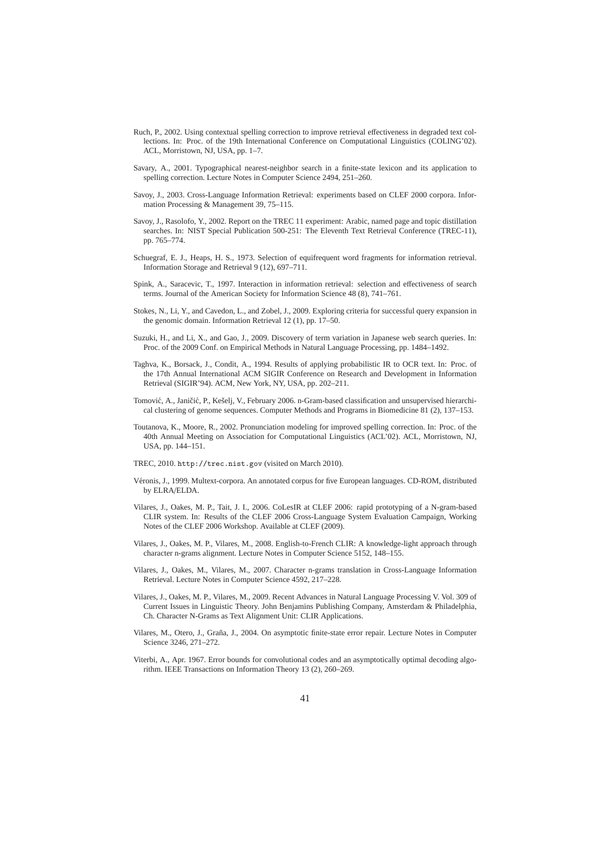- Ruch, P., 2002. Using contextual spelling correction to improve retrieval effectiveness in degraded text collections. In: Proc. of the 19th International Conference on Computational Linguistics (COLING'02). ACL, Morristown, NJ, USA, pp. 1–7.
- Savary, A., 2001. Typographical nearest-neighbor search in a finite-state lexicon and its application to spelling correction. Lecture Notes in Computer Science 2494, 251–260.
- Savoy, J., 2003. Cross-Language Information Retrieval: experiments based on CLEF 2000 corpora. Information Processing & Management 39, 75–115.
- Savoy, J., Rasolofo, Y., 2002. Report on the TREC 11 experiment: Arabic, named page and topic distillation searches. In: NIST Special Publication 500-251: The Eleventh Text Retrieval Conference (TREC-11), pp. 765–774.
- Schuegraf, E. J., Heaps, H. S., 1973. Selection of equifrequent word fragments for information retrieval. Information Storage and Retrieval 9 (12), 697–711.
- Spink, A., Saracevic, T., 1997. Interaction in information retrieval: selection and effectiveness of search terms. Journal of the American Society for Information Science 48 (8), 741–761.
- Stokes, N., Li, Y., and Cavedon, L., and Zobel, J., 2009. Exploring criteria for successful query expansion in the genomic domain. Information Retrieval 12 (1), pp. 17–50.
- Suzuki, H., and Li, X., and Gao, J., 2009. Discovery of term variation in Japanese web search queries. In: Proc. of the 2009 Conf. on Empirical Methods in Natural Language Processing, pp. 1484–1492.
- Taghva, K., Borsack, J., Condit, A., 1994. Results of applying probabilistic IR to OCR text. In: Proc. of the 17th Annual International ACM SIGIR Conference on Research and Development in Information Retrieval (SIGIR'94). ACM, New York, NY, USA, pp. 202–211.
- Tomović, A., Janičić, P., Kešelj, V., February 2006. n-Gram-based classification and unsupervised hierarchical clustering of genome sequences. Computer Methods and Programs in Biomedicine 81 (2), 137–153.
- Toutanova, K., Moore, R., 2002. Pronunciation modeling for improved spelling correction. In: Proc. of the 40th Annual Meeting on Association for Computational Linguistics (ACL'02). ACL, Morristown, NJ, USA, pp. 144–151.
- TREC, 2010. http://trec.nist.gov (visited on March 2010).
- Véronis, J., 1999. Multext-corpora. An annotated corpus for five European languages. CD-ROM, distributed by ELRA/ELDA.
- Vilares, J., Oakes, M. P., Tait, J. I., 2006. CoLesIR at CLEF 2006: rapid prototyping of a N-gram-based CLIR system. In: Results of the CLEF 2006 Cross-Language System Evaluation Campaign, Working Notes of the CLEF 2006 Workshop. Available at CLEF (2009).
- Vilares, J., Oakes, M. P., Vilares, M., 2008. English-to-French CLIR: A knowledge-light approach through character n-grams alignment. Lecture Notes in Computer Science 5152, 148–155.
- Vilares, J., Oakes, M., Vilares, M., 2007. Character n-grams translation in Cross-Language Information Retrieval. Lecture Notes in Computer Science 4592, 217–228.
- Vilares, J., Oakes, M. P., Vilares, M., 2009. Recent Advances in Natural Language Processing V. Vol. 309 of Current Issues in Linguistic Theory. John Benjamins Publishing Company, Amsterdam & Philadelphia, Ch. Character N-Grams as Text Alignment Unit: CLIR Applications.
- Vilares, M., Otero, J., Graña, J., 2004. On asymptotic finite-state error repair. Lecture Notes in Computer Science 3246, 271–272.
- Viterbi, A., Apr. 1967. Error bounds for convolutional codes and an asymptotically optimal decoding algorithm. IEEE Transactions on Information Theory 13 (2), 260–269.